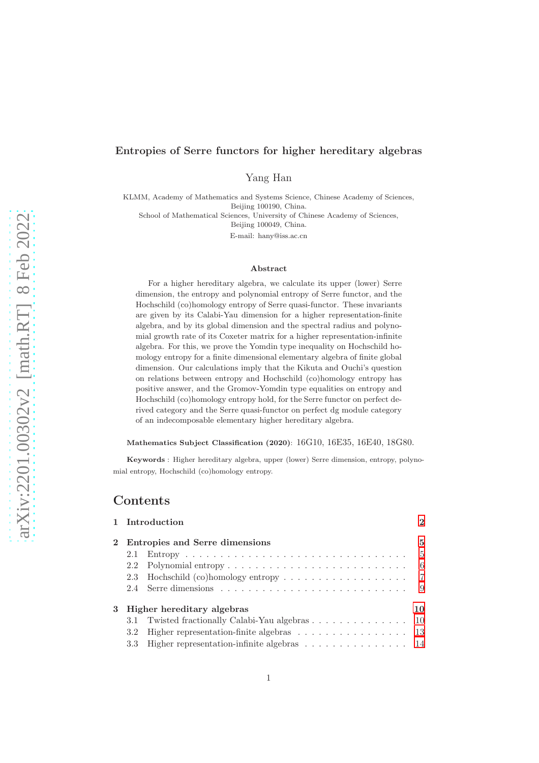# arXiv:2201.00302v2 [math.RT] 8 Feb 2022 [arXiv:2201.00302v2 \[math.RT\] 8 Feb 2022](http://arxiv.org/abs/2201.00302v2)

# Entropies of Serre functors for higher hereditary algebras

Yang Han

KLMM, Academy of Mathematics and Systems Science, Chinese Academy of Sciences, Beijing 100190, China.

School of Mathematical Sciences, University of Chinese Academy of Sciences,

Beijing 100049, China.

E-mail: hany@iss.ac.cn

### Abstract

For a higher hereditary algebra, we calculate its upper (lower) Serre dimension, the entropy and polynomial entropy of Serre functor, and the Hochschild (co)homology entropy of Serre quasi-functor. These invariants are given by its Calabi-Yau dimension for a higher representation-finite algebra, and by its global dimension and the spectral radius and polynomial growth rate of its Coxeter matrix for a higher representation-infinite algebra. For this, we prove the Yomdin type inequality on Hochschild homology entropy for a finite dimensional elementary algebra of finite global dimension. Our calculations imply that the Kikuta and Ouchi's question on relations between entropy and Hochschild (co)homology entropy has positive answer, and the Gromov-Yomdin type equalities on entropy and Hochschild (co)homology entropy hold, for the Serre functor on perfect derived category and the Serre quasi-functor on perfect dg module category of an indecomposable elementary higher hereditary algebra.

### Mathematics Subject Classification (2020): 16G10, 16E35, 16E40, 18G80.

Keywords : Higher hereditary algebra, upper (lower) Serre dimension, entropy, polynomial entropy, Hochschild (co)homology entropy.

# Contents

|                              |                                  | 1 Introduction                                                                          | $\mathbf{2}$ |
|------------------------------|----------------------------------|-----------------------------------------------------------------------------------------|--------------|
|                              | 2 Entropies and Serre dimensions |                                                                                         |              |
|                              | 2.1                              | $Entropy \dots \dots \dots \dots \dots \dots \dots \dots \dots \dots \dots \dots \dots$ | -5           |
|                              | 2.2                              |                                                                                         | - 6          |
|                              |                                  |                                                                                         |              |
|                              |                                  |                                                                                         | - 9          |
| 3 Higher hereditary algebras |                                  |                                                                                         | 10           |
|                              |                                  | 3.1 Twisted fractionally Calabi-Yau algebras 10                                         |              |
|                              | 3.2                              | Higher representation-finite algebras $\ldots \ldots \ldots \ldots \ldots \ldots$ 13    |              |
|                              | 3.3                              | Higher representation-infinite algebras $\ldots \ldots \ldots \ldots \ldots 14$         |              |
|                              |                                  |                                                                                         |              |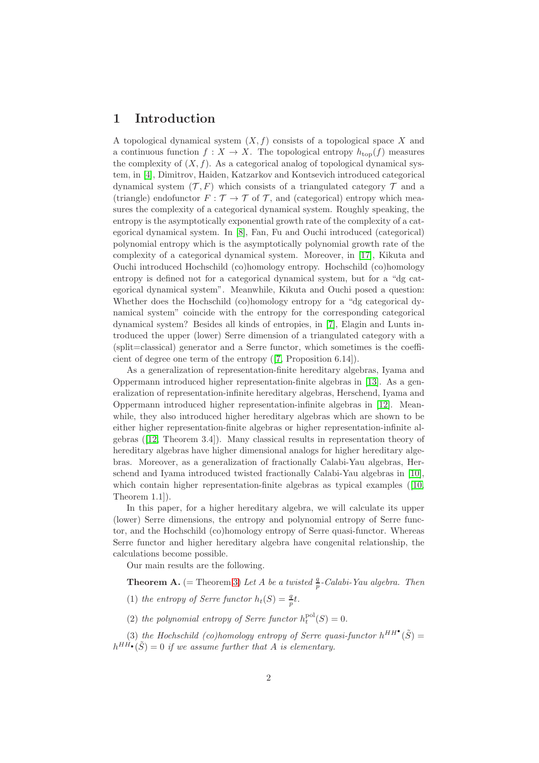# <span id="page-1-0"></span>1 Introduction

A topological dynamical system  $(X, f)$  consists of a topological space X and a continuous function  $f: X \to X$ . The topological entropy  $h_{\text{top}}(f)$  measures the complexity of  $(X, f)$ . As a categorical analog of topological dynamical system, in [\[4\]](#page-19-0), Dimitrov, Haiden, Katzarkov and Kontsevich introduced categorical dynamical system  $(\mathcal{T}, F)$  which consists of a triangulated category  $\mathcal{T}$  and a (triangle) endofunctor  $F : \mathcal{T} \to \mathcal{T}$  of  $\mathcal{T}$ , and (categorical) entropy which measures the complexity of a categorical dynamical system. Roughly speaking, the entropy is the asymptotically exponential growth rate of the complexity of a categorical dynamical system. In [\[8\]](#page-20-0), Fan, Fu and Ouchi introduced (categorical) polynomial entropy which is the asymptotically polynomial growth rate of the complexity of a categorical dynamical system. Moreover, in [\[17\]](#page-20-1), Kikuta and Ouchi introduced Hochschild (co)homology entropy. Hochschild (co)homology entropy is defined not for a categorical dynamical system, but for a "dg categorical dynamical system". Meanwhile, Kikuta and Ouchi posed a question: Whether does the Hochschild (co)homology entropy for a "dg categorical dynamical system" coincide with the entropy for the corresponding categorical dynamical system? Besides all kinds of entropies, in [\[7\]](#page-20-2), Elagin and Lunts introduced the upper (lower) Serre dimension of a triangulated category with a (split=classical) generator and a Serre functor, which sometimes is the coefficient of degree one term of the entropy ([\[7,](#page-20-2) Proposition 6.14]).

As a generalization of representation-finite hereditary algebras, Iyama and Oppermann introduced higher representation-finite algebras in [\[13\]](#page-20-3). As a generalization of representation-infinite hereditary algebras, Herschend, Iyama and Oppermann introduced higher representation-infinite algebras in [\[12\]](#page-20-4). Meanwhile, they also introduced higher hereditary algebras which are shown to be either higher representation-finite algebras or higher representation-infinite algebras ([\[12,](#page-20-4) Theorem 3.4]). Many classical results in representation theory of hereditary algebras have higher dimensional analogs for higher hereditary algebras. Moreover, as a generalization of fractionally Calabi-Yau algebras, Herschend and Iyama introduced twisted fractionally Calabi-Yau algebras in [\[10\]](#page-20-5), which contain higher representation-finite algebras as typical examples (10, Theorem 1.1]).

In this paper, for a higher hereditary algebra, we will calculate its upper (lower) Serre dimensions, the entropy and polynomial entropy of Serre functor, and the Hochschild (co)homology entropy of Serre quasi-functor. Whereas Serre functor and higher hereditary algebra have congenital relationship, the calculations become possible.

Our main results are the following.

**Theorem A.** (= Theorem [3\)](#page-11-0) Let A be a twisted  $\frac{q}{p}$ -Calabi-Yau algebra. Then

(1) *the entropy of Serre functor*  $h_t(S) = \frac{q}{p}t$ .

(2) the polynomial entropy of Serre functor  $h_t^{pol}(S) = 0$ .

(3) the Hochschild (co)homology entropy of Serre quasi-functor  $h^{HH}(\tilde{S}) =$  $h^{HH\bullet}(\tilde{S}) = 0$  if we assume further that A is elementary.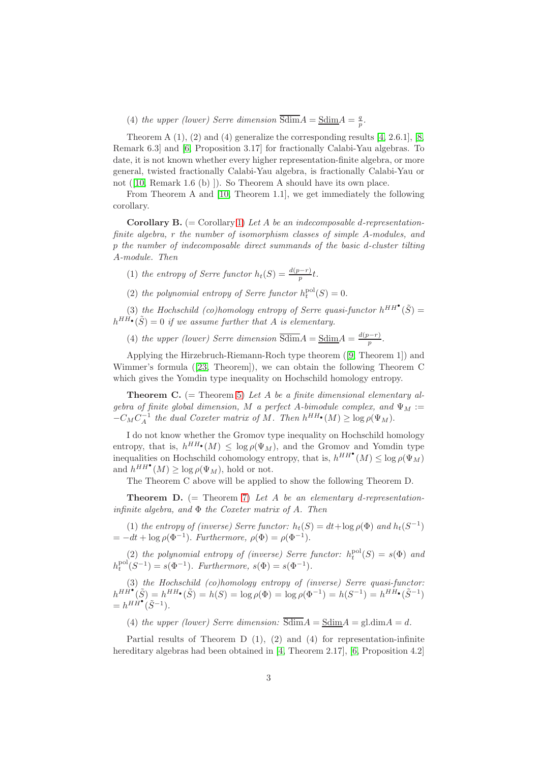(4) *the upper (lower) Serre dimension*  $\overline{\text{Sdim}}A = \underline{\text{Sdim}}A = \frac{q}{p}$ .

Theorem A  $(1)$ ,  $(2)$  and  $(4)$  generalize the corresponding results [\[4,](#page-19-0) 2.6.1], [\[8,](#page-20-0) Remark 6.3] and [\[6,](#page-20-6) Proposition 3.17] for fractionally Calabi-Yau algebras. To date, it is not known whether every higher representation-finite algebra, or more general, twisted fractionally Calabi-Yau algebra, is fractionally Calabi-Yau or not ([\[10,](#page-20-5) Remark 1.6 (b) ]). So Theorem A should have its own place.

From Theorem A and [\[10,](#page-20-5) Theorem 1.1], we get immediately the following corollary.

Corollary B. (= Corollary [1\)](#page-13-1) *Let* A *be an indecomposable* d*-representationfinite algebra,* r *the number of isomorphism classes of simple* A*-modules, and* p *the number of indecomposable direct summands of the basic* d*-cluster tilting* A*-module. Then*

(1) *the entropy of Serre functor*  $h_t(S) = \frac{d(p-r)}{p}t$ .

(2) the polynomial entropy of Serre functor  $h_t^{pol}(S) = 0$ .

(3) the Hochschild (co)homology entropy of Serre quasi-functor  $h^{HH}(\tilde{S}) =$  $h^{HH\bullet}(\tilde{S}) = 0$  if we assume further that A is elementary.

(4) *the upper (lower)* Serre dimension  $\overline{\text{Sdim}}A = \underline{\text{Sdim}}A = \frac{d(p-r)}{n}$  $\frac{p-r}{p}$ .

Applying the Hirzebruch-Riemann-Roch type theorem ([\[9,](#page-20-7) Theorem 1]) and Wimmer's formula ([\[23,](#page-20-8) Theorem]), we can obtain the following Theorem C which gives the Yomdin type inequality on Hochschild homology entropy.

Theorem C. (= Theorem [5\)](#page-14-0) *Let* A *be a finite dimensional elementary algebra of finite global dimension,* M *a perfect* A-bimodule complex, and  $\Psi_M$  :=  $-C_M C_A^{-1}$  the dual Coxeter matrix of M. Then  $h^{HH} \cdot (M) \ge \log \rho(\Psi_M)$ .

I do not know whether the Gromov type inequality on Hochschild homology entropy, that is,  $h^{HH\bullet}(M) \leq \log \rho(\Psi_M)$ , and the Gromov and Yomdin type inequalities on Hochschild cohomology entropy, that is,  $h^{HH}$ <sup>\*</sup> $(M) \leq \log \rho(\Psi_M)$ and  $h^{HH^{\bullet}}(M) \geq \log \rho(\Psi_M)$ , hold or not.

The Theorem C above will be applied to show the following Theorem D.

Theorem D. (= Theorem [7\)](#page-16-0) *Let* A *be an elementary* d*-representationinfinite algebra, and* Φ *the Coxeter matrix of* A*. Then*

(1) *the entropy of (inverse)* Serre functor:  $h_t(S) = dt + \log \rho(\Phi)$  and  $h_t(S^{-1})$  $= -dt + \log \rho(\Phi^{-1})$ . *Furthermore*,  $\rho(\Phi) = \rho(\Phi^{-1})$ .

(2) the polynomial entropy of (inverse) Serre functor:  $h_t^{pol}(S) = s(\Phi)$  and  $h_t^{\text{pol}}(S^{-1}) = s(\Phi^{-1})$ *. Furthermore,*  $s(\Phi) = s(\Phi^{-1})$ *.* 

(3) *the Hochschild (co)homology entropy of (inverse) Serre quasi-functor:*  $h^{HH^{\bullet}}(\tilde{S}) = h^{HH_{\bullet}}(\tilde{S}) = h(S) = \log \rho(\Phi) = \log \rho(\Phi^{-1}) = h(S^{-1}) = h^{HH_{\bullet}}(\tilde{S}^{-1})$  $= h^{H}\hat{H}^{\bullet}(\tilde{S}^{-1}).$ 

(4) *the upper (lower) Serre dimension:*  $\overline{Sdim}A = SdimA = gl.dimA = d$ .

Partial results of Theorem D (1), (2) and (4) for representation-infinite hereditary algebras had been obtained in [\[4,](#page-19-0) Theorem 2.17], [\[6,](#page-20-6) Proposition 4.2]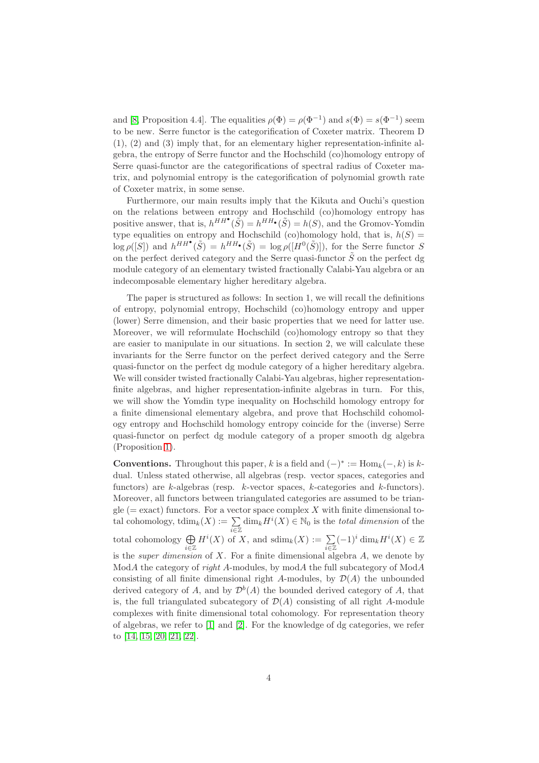and [\[8,](#page-20-0) Proposition 4.4]. The equalities  $\rho(\Phi) = \rho(\Phi^{-1})$  and  $s(\Phi) = s(\Phi^{-1})$  seem to be new. Serre functor is the categorification of Coxeter matrix. Theorem D (1), (2) and (3) imply that, for an elementary higher representation-infinite algebra, the entropy of Serre functor and the Hochschild (co)homology entropy of Serre quasi-functor are the categorifications of spectral radius of Coxeter matrix, and polynomial entropy is the categorification of polynomial growth rate of Coxeter matrix, in some sense.

Furthermore, our main results imply that the Kikuta and Ouchi's question on the relations between entropy and Hochschild (co)homology entropy has positive answer, that is,  $h^{HH}(\tilde{S}) = h^{HH}(\tilde{S}) = h(S)$ , and the Gromov-Yomdin type equalities on entropy and Hochschild (co)homology hold, that is,  $h(S)$  =  $\log \rho([S])$  and  $h^{HH}(\tilde{S}) = h^{HH}(\tilde{S}) = \log \rho([H^0(\tilde{S})]),$  for the Serre functor S on the perfect derived category and the Serre quasi-functor  $\tilde{S}$  on the perfect dg module category of an elementary twisted fractionally Calabi-Yau algebra or an indecomposable elementary higher hereditary algebra.

The paper is structured as follows: In section 1, we will recall the definitions of entropy, polynomial entropy, Hochschild (co)homology entropy and upper (lower) Serre dimension, and their basic properties that we need for latter use. Moreover, we will reformulate Hochschild (co)homology entropy so that they are easier to manipulate in our situations. In section 2, we will calculate these invariants for the Serre functor on the perfect derived category and the Serre quasi-functor on the perfect dg module category of a higher hereditary algebra. We will consider twisted fractionally Calabi-Yau algebras, higher representationfinite algebras, and higher representation-infinite algebras in turn. For this, we will show the Yomdin type inequality on Hochschild homology entropy for a finite dimensional elementary algebra, and prove that Hochschild cohomology entropy and Hochschild homology entropy coincide for the (inverse) Serre quasi-functor on perfect dg module category of a proper smooth dg algebra (Proposition [1\)](#page-10-0).

**Conventions.** Throughout this paper, k is a field and  $(-)^* := \text{Hom}_k(-, k)$  is kdual. Unless stated otherwise, all algebras (resp. vector spaces, categories and functors) are  $k$ -algebras (resp.  $k$ -vector spaces,  $k$ -categories and  $k$ -functors). Moreover, all functors between triangulated categories are assumed to be triangle ( $=$  exact) functors. For a vector space complex X with finite dimensional total cohomology,  $\operatorname{tdim}_k(X) := \sum_{i \in \mathbb{Z}} \dim_k H^i(X) \in \mathbb{N}_0$  is the *total dimension* of the total cohomology  $\bigoplus_{i\in\mathbb{Z}} H^i(X)$  of X, and  $\text{sdim}_k(X) := \sum_{i\in\mathbb{Z}} (-1)^i \dim_k H^i(X) \in \mathbb{Z}$ is the *super dimension* of X. For a finite dimensional algebra A, we denote by ModA the category of *right* A-modules, by modA the full subcategory of ModA consisting of all finite dimensional right A-modules, by  $\mathcal{D}(A)$  the unbounded derived category of A, and by  $\mathcal{D}^b(A)$  the bounded derived category of A, that is, the full triangulated subcategory of  $\mathcal{D}(A)$  consisting of all right A-module complexes with finite dimensional total cohomology. For representation theory of algebras, we refer to [\[1\]](#page-19-1) and [\[2\]](#page-19-2). For the knowledge of dg categories, we refer to [\[14,](#page-20-9) [15,](#page-20-10) [20,](#page-20-11) [21,](#page-20-12) [22\]](#page-20-13).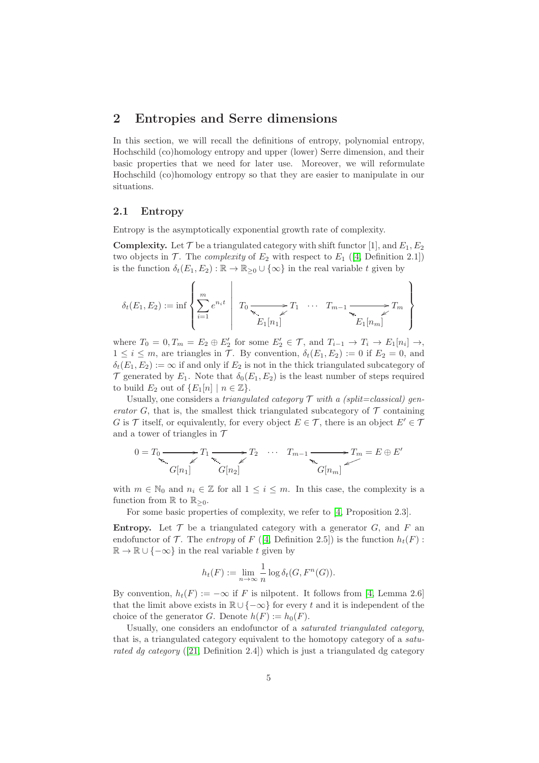# <span id="page-4-0"></span>2 Entropies and Serre dimensions

In this section, we will recall the definitions of entropy, polynomial entropy, Hochschild (co)homology entropy and upper (lower) Serre dimension, and their basic properties that we need for later use. Moreover, we will reformulate Hochschild (co)homology entropy so that they are easier to manipulate in our situations.

### <span id="page-4-1"></span>2.1 Entropy

Entropy is the asymptotically exponential growth rate of complexity.

**Complexity.** Let  $\mathcal T$  be a triangulated category with shift functor [1], and  $E_1, E_2$ two objects in  $\mathcal{T}$ . The *complexity* of  $E_2$  with respect to  $E_1$  ([\[4,](#page-19-0) Definition 2.1]) is the function  $\delta_t(E_1, E_2) : \mathbb{R} \to \mathbb{R}_{\geq 0} \cup {\infty}$  in the real variable t given by

$$
\delta_t(E_1, E_2) := \inf \left\{ \sum_{i=1}^m e^{n_i t} \mid T_0 \xrightarrow{\nabla} T_1 \cdots T_{m-1} \xrightarrow{\nabla} T_m \right\}
$$

where  $T_0 = 0, T_m = E_2 \oplus E'_2$  for some  $E'_2 \in \mathcal{T}$ , and  $T_{i-1} \to T_i \to E_1[n_i] \to$ ,  $1 \leq i \leq m$ , are triangles in T. By convention,  $\delta_t(E_1, E_2) := 0$  if  $E_2 = 0$ , and  $\delta_t(E_1, E_2) := \infty$  if and only if  $E_2$  is not in the thick triangulated subcategory of  $\mathcal T$  generated by  $E_1$ . Note that  $\delta_0(E_1, E_2)$  is the least number of steps required to build  $E_2$  out of  $\{E_1[n] \mid n \in \mathbb{Z}\}.$ 

Usually, one considers a *triangulated category*  $\mathcal T$  *with a (split=classical) generator* G, that is, the smallest thick triangulated subcategory of  $\mathcal T$  containing G is T itself, or equivalently, for every object  $E \in \mathcal{T}$ , there is an object  $E' \in \mathcal{T}$ and a tower of triangles in  $\mathcal T$ 

$$
0 = T_0 \longrightarrow T_1 \longrightarrow T_2 \longrightarrow T_2 \longrightarrow T_{m-1} \longrightarrow T_m = E \oplus E'
$$
  
\n
$$
G[n_1] \longrightarrow G[n_2]
$$

with  $m \in \mathbb{N}_0$  and  $n_i \in \mathbb{Z}$  for all  $1 \leq i \leq m$ . In this case, the complexity is a function from  $\mathbb R$  to  $\mathbb R_{\geq 0}$ .

For some basic properties of complexity, we refer to [\[4,](#page-19-0) Proposition 2.3].

**Entropy.** Let  $\mathcal T$  be a triangulated category with a generator  $G$ , and  $F$  and endofunctor of  $\mathcal T$ . The *entropy* of  $F$  ([\[4,](#page-19-0) Definition 2.5]) is the function  $h_t(F)$ :  $\mathbb{R} \to \mathbb{R} \cup \{-\infty\}$  in the real variable t given by

$$
h_t(F) := \lim_{n \to \infty} \frac{1}{n} \log \delta_t(G, F^n(G)).
$$

By convention,  $h_t(F) := -\infty$  if F is nilpotent. It follows from [\[4,](#page-19-0) Lemma 2.6] that the limit above exists in  $\mathbb{R} \cup \{-\infty\}$  for every t and it is independent of the choice of the generator G. Denote  $h(F) := h_0(F)$ .

Usually, one considers an endofunctor of a *saturated triangulated category*, that is, a triangulated category equivalent to the homotopy category of a *saturated dg category* ([\[21,](#page-20-12) Definition 2.4]) which is just a triangulated dg category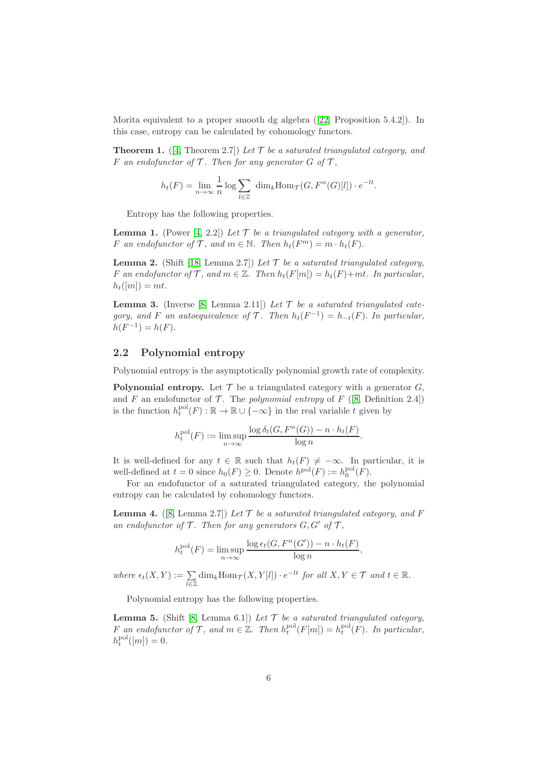Morita equivalent to a proper smooth dg algebra ([\[22,](#page-20-13) Proposition 5.4.2]). In this case, entropy can be calculated by cohomology functors.

<span id="page-5-3"></span>**Theorem 1.** ([\[4,](#page-19-0) Theorem 2.7]) Let  $\mathcal{T}$  be a saturated triangulated category, and F an endofunctor of  $\mathcal T$ . Then for any generator  $G$  of  $\mathcal T$ ,

$$
h_t(F) = \lim_{n \to \infty} \frac{1}{n} \log \sum_{l \in \mathbb{Z}} \dim_k \text{Hom}_{\mathcal{T}}(G, F^n(G)[l]) \cdot e^{-lt}.
$$

Entropy has the following properties.

<span id="page-5-1"></span>**Lemma 1.** (Power [\[4,](#page-19-0) 2.2]) Let  $\mathcal{T}$  be a triangulated category with a generator, F an endofunctor of T, and  $m \in \mathbb{N}$ . Then  $h_t(F^m) = m \cdot h_t(F)$ .

<span id="page-5-2"></span>**Lemma 2.** (Shift [\[18,](#page-20-14) Lemma 2.7]) Let  $\mathcal{T}$  be a saturated triangulated category, F an endofunctor of T, and  $m \in \mathbb{Z}$ . Then  $h_t(F[m]) = h_t(F) + mt$ . In particular,  $h_t([m]) = mt.$ 

<span id="page-5-4"></span>**Lemma 3.** (Inverse [\[8,](#page-20-0) Lemma 2.11]) Let  $\mathcal{T}$  be a saturated triangulated cate*gory, and* F *an autoequivalence of* T. Then  $h_t(F^{-1}) = h_{-t}(F)$ . In particular,  $h(F^{-1}) = h(F).$ 

### <span id="page-5-0"></span>2.2 Polynomial entropy

Polynomial entropy is the asymptotically polynomial growth rate of complexity.

**Polynomial entropy.** Let  $\mathcal{T}$  be a triangulated category with a generator  $G$ , and F an endofunctor of T. The *polynomial entropy* of F ([\[8,](#page-20-0) Definition 2.4]) is the function  $h_t^{\text{pol}}(F) : \mathbb{R} \to \mathbb{R} \cup \{-\infty\}$  in the real variable t given by

$$
h_t^{\text{pol}}(F) := \limsup_{n \to \infty} \frac{\log \delta_t(G, F^n(G)) - n \cdot h_t(F)}{\log n}.
$$

It is well-defined for any  $t \in \mathbb{R}$  such that  $h_t(F) \neq -\infty$ . In particular, it is well-defined at  $t = 0$  since  $h_0(F) \ge 0$ . Denote  $h^{\text{pol}}(F) := h_0^{\text{pol}}(F)$ .

For an endofunctor of a saturated triangulated category, the polynomial entropy can be calculated by cohomology functors.

<span id="page-5-5"></span>**Lemma 4.** ([\[8,](#page-20-0) Lemma 2.7]) *Let*  $\mathcal{T}$  *be a saturated triangulated category, and*  $F$ an endofunctor of  $\mathcal T$ . Then for any generators  $G, G'$  of  $\mathcal T$ ,

$$
h_t^{\text{pol}}(F) = \limsup_{n \to \infty} \frac{\log \epsilon_t(G, F^n(G')) - n \cdot h_t(F)}{\log n},
$$

 $where \epsilon_t(X, Y) := \sum_{l \in \mathbb{Z}} \dim_k \text{Hom}_{\mathcal{T}}(X, Y[l]) \cdot e^{-lt}$  *for all*  $X, Y \in \mathcal{T}$  *and*  $t \in \mathbb{R}$ *.* 

Polynomial entropy has the following properties.

<span id="page-5-6"></span>**Lemma 5.** (Shift [\[8,](#page-20-0) Lemma 6.1]) Let  $\mathcal T$  be a saturated triangulated category, F an endofunctor of T, and  $m \in \mathbb{Z}$ . Then  $h_t^{pol}(F[m]) = h_t^{pol}(F)$ . In particular,  $h_t^{\text{pol}}([m]) = 0.$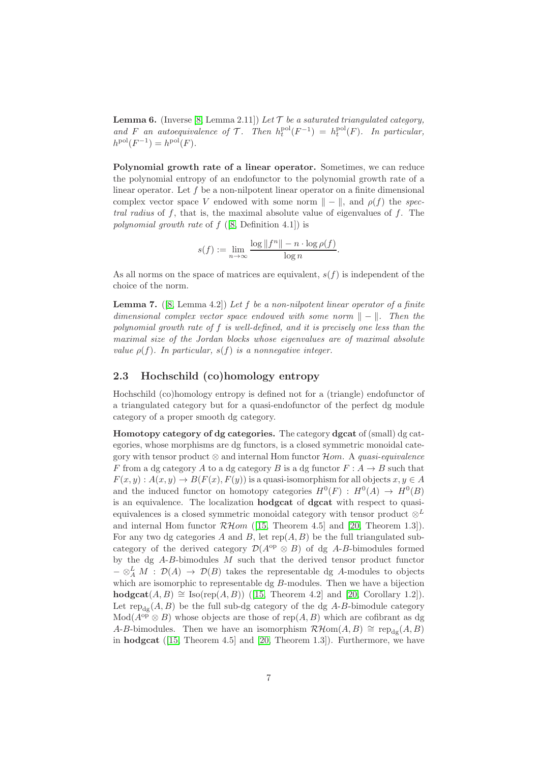<span id="page-6-2"></span>**Lemma 6.** (Inverse [\[8,](#page-20-0) Lemma 2.11]) Let  $\mathcal T$  be a saturated triangulated category, and F an autoequivalence of T. Then  $h_t^{pol}(F^{-1}) = h_t^{pol}(F)$ . In particular,  $h^{\text{pol}}(F^{-1}) = h^{\text{pol}}(F)$ .

Polynomial growth rate of a linear operator. Sometimes, we can reduce the polynomial entropy of an endofunctor to the polynomial growth rate of a linear operator. Let  $f$  be a non-nilpotent linear operator on a finite dimensional complex vector space V endowed with some norm  $\| - \|$ , and  $\rho(f)$  the *spectral radius* of f, that is, the maximal absolute value of eigenvalues of f. The *polynomial growth rate* of f ([\[8,](#page-20-0) Definition 4.1]) is

$$
s(f) := \lim_{n \to \infty} \frac{\log ||f^n|| - n \cdot \log \rho(f)}{\log n}.
$$

As all norms on the space of matrices are equivalent,  $s(f)$  is independent of the choice of the norm.

<span id="page-6-1"></span>Lemma 7. ([\[8,](#page-20-0) Lemma 4.2]) *Let* f *be a non-nilpotent linear operator of a finite dimensional complex vector space endowed with some norm*  $\|$  −  $\|$ *. Then the polynomial growth rate of* f *is well-defined, and it is precisely one less than the maximal size of the Jordan blocks whose eigenvalues are of maximal absolute value*  $\rho(f)$ *. In particular,*  $s(f)$  *is a nonnegative integer.* 

### <span id="page-6-0"></span>2.3 Hochschild (co)homology entropy

Hochschild (co)homology entropy is defined not for a (triangle) endofunctor of a triangulated category but for a quasi-endofunctor of the perfect dg module category of a proper smooth dg category.

Homotopy category of dg categories. The category dgcat of (small) dg categories, whose morphisms are dg functors, is a closed symmetric monoidal category with tensor product ⊗ and internal Hom functor Hom. A *quasi-equivalence* F from a dg category A to a dg category B is a dg functor  $F: A \rightarrow B$  such that  $F(x, y) : A(x, y) \to B(F(x), F(y))$  is a quasi-isomorphism for all objects  $x, y \in A$ and the induced functor on homotopy categories  $H^0(F) : H^0(A) \to H^0(B)$ is an equivalence. The localization hodgcat of dgcat with respect to quasiequivalences is a closed symmetric monoidal category with tensor product  $\otimes^L$ and internal Hom functor  $\mathcal{RH}\text{om}$  ([\[15,](#page-20-10) Theorem 4.5] and [\[20,](#page-20-11) Theorem 1.3]). For any two dg categories A and B, let  $rep(A, B)$  be the full triangulated subcategory of the derived category  $\mathcal{D}(A^{\rm op} \otimes B)$  of dg A-B-bimodules formed by the dg  $A-B$ -bimodules  $M$  such that the derived tensor product functor  $-\otimes^L_A M$  :  $\mathcal{D}(A) \to \mathcal{D}(B)$  takes the representable dg A-modules to objects which are isomorphic to representable  $\text{dg } B$ -modules. Then we have a bijection hodgcat $(A, B) \cong \text{Iso}(\text{rep}(A, B))$  ([\[15,](#page-20-10) Theorem 4.2] and [\[20,](#page-20-11) Corollary 1.2]). Let  $\text{rep}_{\text{d}g}(A, B)$  be the full sub-dg category of the dg A-B-bimodule category  $Mod(A^{op} \otimes B)$  whose objects are those of rep $(A, B)$  which are cofibrant as dg A-B-bimodules. Then we have an isomorphism  $\mathcal{RH}\text{om}(A, B) \cong \text{rep}_{\text{def}}(A, B)$ in hodgcat ([\[15,](#page-20-10) Theorem 4.5] and [\[20,](#page-20-11) Theorem 1.3]). Furthermore, we have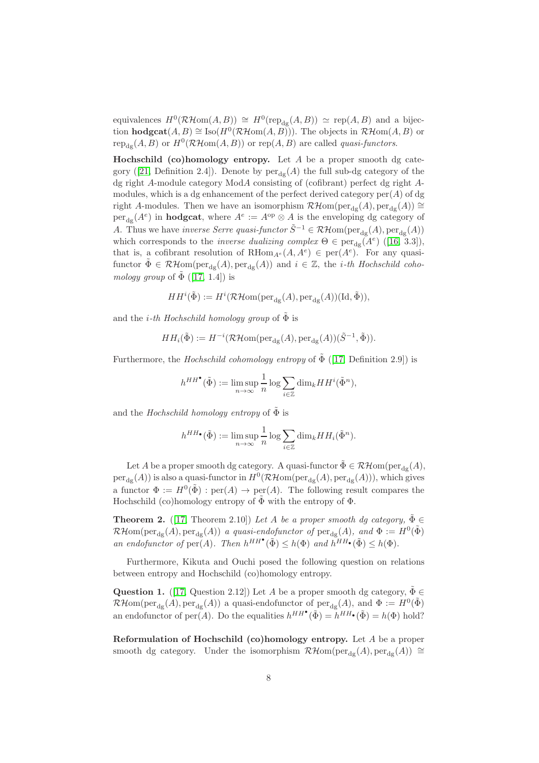equivalences  $H^0(\mathcal{RH}\text{om}(A,B)) \cong H^0(\text{rep}_{dg}(A,B)) \simeq \text{rep}(A,B)$  and a bijection **hodgcat** $(A, B) \cong \text{Iso}(H^0(\mathcal{RH}\text{om}(A, B)))$ . The objects in  $\mathcal{RH}\text{om}(A, B)$  or  $\text{rep}_{\text{dg}}(A, B)$  or  $H^0(\mathcal{RH}\text{om}(A, B))$  or  $\text{rep}(A, B)$  are called *quasi-functors*.

Hochschild (co)homology entropy. Let  $A$  be a proper smooth dg cate-gory ([\[21,](#page-20-12) Definition 2.4]). Denote by  $per_{dg}(A)$  the full sub-dg category of the dg right A-module category ModA consisting of (cofibrant) perfect dg right Amodules, which is a dg enhancement of the perfect derived category  $\text{per}(A)$  of dg right A-modules. Then we have an isomorphism  $\mathcal{RH}\text{om}(\text{per}_{dg}(A), \text{per}_{dg}(A)) \cong$  $per_{dg}(A^e)$  in **hodgcat**, where  $A^e := A^{op} \otimes A$  is the enveloping dg category of A. Thus we have *inverse Serre quasi-functor*  $\tilde{S}^{-1} \in \mathcal{RH}$ om(per<sub>dg</sub>(A), per<sub>dg</sub>(A)) which corresponds to the *inverse dualizing complex*  $\Theta \in \text{per}_{dg}(\tilde{A}^e)$  ([\[16,](#page-20-15) 3.3]), that is, a cofibrant resolution of RHom<sub> $A^e$ </sub> $(A, A^e) \in \text{per}(A^e)$ . For any quasifunctor  $\tilde{\Phi} \in \mathcal{RH}\text{om}(\text{per}_{dg}(A), \text{per}_{dg}(A))$  and  $i \in \mathbb{Z}$ , the *i-th Hochschild cohomology group* of  $\Phi$  ([\[17,](#page-20-1) 1.4]) is

$$
HH^{i}(\tilde{\Phi}) := H^{i}(\mathcal{RH}om(\text{per}_{dg}(A), \text{per}_{dg}(A))(\text{Id}, \tilde{\Phi})),
$$

and the *i*-th Hochschild homology group of  $\Phi$  is

$$
HH_i(\tilde{\Phi}) := H^{-i}(\mathcal{RH}om(\mathrm{per}_{\mathrm{dg}}(A), \mathrm{per}_{\mathrm{dg}}(A))(\tilde{S}^{-1}, \tilde{\Phi})).
$$

Furthermore, the *Hochschild cohomology entropy* of  $\tilde{\Phi}$  ([\[17,](#page-20-1) Definition 2.9]) is

$$
h^{HH^{\bullet}}(\tilde{\Phi}) := \limsup_{n \to \infty} \frac{1}{n} \log \sum_{i \in \mathbb{Z}} \dim_k HH^i(\tilde{\Phi}^n),
$$

and the *Hochschild homology entropy* of  $\tilde{\Phi}$  is

$$
h^{HH\bullet}(\tilde{\Phi}) := \limsup_{n \to \infty} \frac{1}{n} \log \sum_{i \in \mathbb{Z}} \dim_k HH_i(\tilde{\Phi}^n).
$$

Let A be a proper smooth dg category. A quasi-functor  $\tilde{\Phi} \in \mathcal{RH}\text{om}(\text{per}_{\text{dg}}(A),$  $per_{dg}(A)$ ) is also a quasi-functor in  $H^0(\mathcal{RH}\text{om}(\text{per}_{dg}(A),\text{per}_{dg}(A))),$  which gives a functor  $\Phi := H^0(\tilde{\Phi}) : \text{per}(A) \to \text{per}(A)$ . The following result compares the Hochschild (co)homology entropy of  $\tilde{\Phi}$  with the entropy of  $\Phi$ .

<span id="page-7-1"></span>**Theorem 2.** ([\[17,](#page-20-1) Theorem 2.10]) *Let* A *be a proper smooth dg category*,  $\tilde{\Phi} \in$  $\mathcal{RH}\text{om}(\text{per}_{\text{dg}}(A), \text{per}_{\text{dg}}(A))$  *a quasi-endofunctor of*  $\text{per}_{\text{dg}}(A)$ *, and*  $\Phi := H^0(\tilde{\Phi})$ *an endofunctor of*  $\text{per}(A)$ *. Then*  $h^{HH}(\tilde{\Phi}) \leq h(\Phi)$  *and*  $h^{HH}(\tilde{\Phi}) \leq h(\Phi)$ *.* 

Furthermore, Kikuta and Ouchi posed the following question on relations between entropy and Hochschild (co)homology entropy.

<span id="page-7-0"></span>**Question 1.** ([\[17,](#page-20-1) Question 2.12]) Let A be a proper smooth dg category,  $\tilde{\Phi} \in$  $\mathcal{RH}\text{om}(\text{per}_{\text{dg}}(A),\text{per}_{\text{dg}}(A))$  a quasi-endofunctor of  $\text{per}_{\text{dg}}(A)$ , and  $\Phi := H^0(\tilde{\Phi})$ an endofunctor of per $(A)$ . Do the equalities  $h^{HH}(\tilde{\Phi}) = h^{HH}(\tilde{\Phi}) = h(\Phi)$  hold?

Reformulation of Hochschild (co)homology entropy. Let A be a proper smooth dg category. Under the isomorphism  $\mathcal{RH}\text{om}(\text{per}_{d_{\mathcal{E}}}(A), \text{per}_{d_{\mathcal{E}}}(A)) \cong$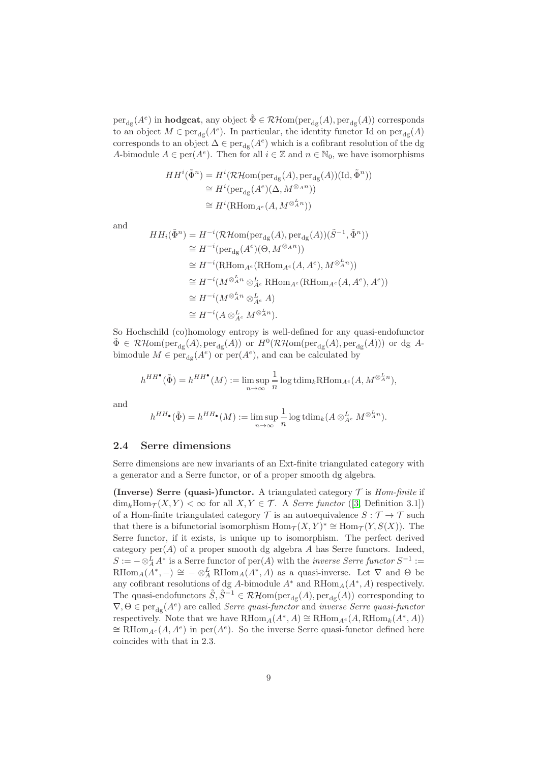$per_{dg}(A^e)$  in **hodgcat**, any object  $\tilde{\Phi} \in \mathcal{RH}\text{om}(per_{dg}(A),per_{dg}(A))$  corresponds to an object  $M \in \text{per}_{dg}(A^e)$ . In particular, the identity functor Id on  $\text{per}_{dg}(A)$ corresponds to an object  $\Delta \in \text{per}_{dg}(A^e)$  which is a cofibrant resolution of the dg A-bimodule  $A \in \text{per}(A^e)$ . Then for all  $i \in \mathbb{Z}$  and  $n \in \mathbb{N}_0$ , we have isomorphisms

$$
HH^{i}(\tilde{\Phi}^{n}) = H^{i}(\mathcal{RH}om(\text{per}_{dg}(A), \text{per}_{dg}(A))(\text{Id}, \tilde{\Phi}^{n}))
$$
  
\n
$$
\cong H^{i}(\text{per}_{dg}(A^{e})(\Delta, M^{\otimes_{A}n}))
$$
  
\n
$$
\cong H^{i}(\text{RHom}_{A^{e}}(A, M^{\otimes_{A}^{L}n}))
$$

and

$$
HH_i(\tilde{\Phi}^n) = H^{-i}(\mathcal{RH}om(\text{per}_{dg}(A), \text{per}_{dg}(A))(\tilde{S}^{-1}, \tilde{\Phi}^n))
$$
  
\n
$$
\cong H^{-i}(\text{per}_{dg}(A^e)(\Theta, M^{\otimes_A n}))
$$
  
\n
$$
\cong H^{-i}(\text{RHom}_{A^e}(\text{RHom}_{A^e}(A, A^e), M^{\otimes_A^L n}))
$$
  
\n
$$
\cong H^{-i}(M^{\otimes_A^L n} \otimes_{A^e}^L \text{RHom}_{A^e}(\text{RHom}_{A^e}(A, A^e), A^e))
$$
  
\n
$$
\cong H^{-i}(M^{\otimes_A^L n} \otimes_{A^e}^L A)
$$
  
\n
$$
\cong H^{-i}(A \otimes_{A^e}^L M^{\otimes_A^L n}).
$$

So Hochschild (co)homology entropy is well-defined for any quasi-endofunctor  $\tilde{\Phi} \in \mathcal{RH}om(\text{per}_{dg}(A),\text{per}_{dg}(A))$  or  $H^0(\mathcal{RH}om(\text{per}_{dg}(A),\text{per}_{dg}(A)))$  or dg Abimodule  $M \in \text{per}_{dg}(A^e)$  or  $\text{per}(A^e)$ , and can be calculated by

$$
h^{HH^{\bullet}}(\tilde{\Phi}) = h^{HH^{\bullet}}(M) := \limsup_{n \to \infty} \frac{1}{n} \log \text{tdim}_{k} \text{R}\text{Hom}_{A^e}(A, M^{\otimes_A^L n}),
$$

and

$$
h^{HH\bullet}(\tilde{\Phi}) = h^{HH\bullet}(M) := \limsup_{n \to \infty} \frac{1}{n} \log \text{tdim}_k(A \otimes_{A^e}^L M^{\otimes_A^L n}).
$$

### <span id="page-8-0"></span>2.4 Serre dimensions

Serre dimensions are new invariants of an Ext-finite triangulated category with a generator and a Serre functor, or of a proper smooth dg algebra.

(Inverse) Serre (quasi-)functor. A triangulated category  $T$  is *Hom-finite* if  $\dim_k \text{Hom}_{\mathcal{T}}(X, Y) < \infty$  for all  $X, Y \in \mathcal{T}$ . A *Serre functor* ([\[3,](#page-19-3) Definition 3.1]) of a Hom-finite triangulated category  $\mathcal T$  is an autoequivalence  $S: \mathcal T \to \mathcal T$  such that there is a bifunctorial isomorphism  $\text{Hom}_{\mathcal{T}}(X, Y)^* \cong \text{Hom}_{\mathcal{T}}(Y, S(X))$ . The Serre functor, if it exists, is unique up to isomorphism. The perfect derived category  $per(A)$  of a proper smooth dg algebra  $A$  has Serre functors. Indeed,  $S := - \otimes_A^L A^*$  is a Serre functor of  $\text{per}(A)$  with the *inverse Serre functor*  $S^{-1} :=$ RHom<sub>A</sub>( $A^*$ , -)  $\cong -\otimes^L_A$  RHom<sub>A</sub>( $A^*$ , A) as a quasi-inverse. Let  $\nabla$  and  $\Theta$  be any cofibrant resolutions of dg A-bimodule  $A^*$  and  $RHom_A(A^*, A)$  respectively. The quasi-endofunctors  $\tilde{S}, \tilde{S}^{-1} \in \mathcal{RH}$ om(per $_{dg}(A)$ , per $_{dg}(A)$ ) corresponding to  $\nabla, \Theta \in \text{per}_{dg}(A^e)$  are called *Serre quasi-functor* and *inverse Serre quasi-functor* respectively. Note that we have  $\text{RHom}_{A}(A^*, A) \cong \text{RHom}_{A^e}(A, \text{RHom}_{k}(A^*, A))$  $\cong$  RHom<sub>A</sub><sup>e</sup>(A, A<sup>e</sup>) in per(A<sup>e</sup>). So the inverse Serre quasi-functor defined here coincides with that in 2.3.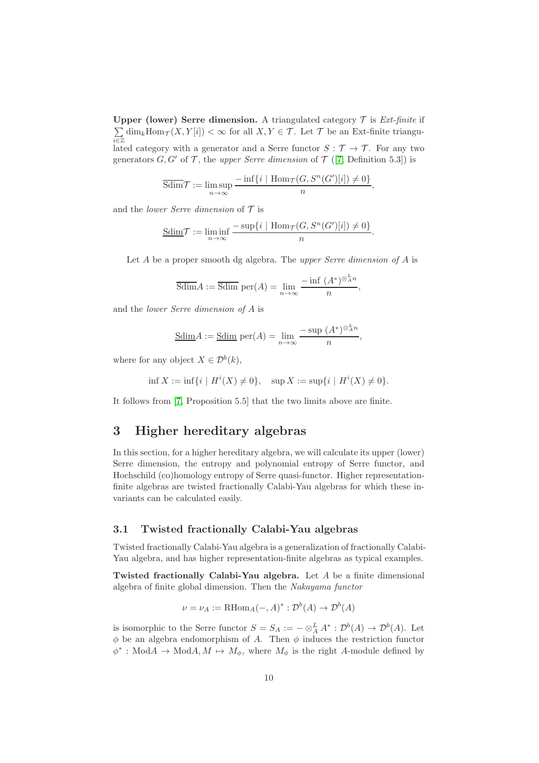Upper (lower) Serre dimension. A triangulated category  $T$  is *Ext-finite* if  $\sum$  $\sum_{i\in\mathbb{Z}} \dim_k \text{Hom}_{\mathcal{T}}(X, Y[i]) < \infty$  for all  $X, Y \in \mathcal{T}$ . Let  $\mathcal{T}$  be an Ext-finite triangulated category with a generator and a Serre functor  $S : \mathcal{T} \to \mathcal{T}$ . For any two generators  $G, G'$  of  $\mathcal T$ , the *upper Serre dimension* of  $\mathcal T$  ([\[7,](#page-20-2) Definition 5.3]) is

$$
\overline{{\rm Sdim}}\mathcal{T}:=\limsup_{n\to\infty}\frac{-\inf\{i\mid \operatorname{Hom}\nolimits_{\mathcal{T}}(G,S^n(G')[i])\neq 0\}}{n},
$$

and the *lower Serre dimension* of T is

$$
\underline{\text{Sdim}}\mathcal{T} := \liminf_{n \to \infty} \frac{-\sup\{i \mid \text{Hom}_{\mathcal{T}}(G, S^n(G')[i]) \neq 0\}}{n}.
$$

Let A be a proper smooth dg algebra. The *upper Serre dimension of* A is

$$
\overline{\text{Sdim}}A := \overline{\text{Sdim}} \text{ per}(A) = \lim_{n \to \infty} \frac{-\inf (A^*)^{\otimes_A^L n}}{n},
$$

and the *lower Serre dimension of* A is

$$
\underline{\text{Sdim}}A := \underline{\text{Sdim}} \, \text{per}(A) = \lim_{n \to \infty} \frac{-\sup (A^*)^{\otimes_A^L n}}{n},
$$

where for any object  $X \in \mathcal{D}^b(k)$ ,

$$
\inf X := \inf\{i \mid H^i(X) \neq 0\}, \quad \sup X := \sup\{i \mid H^i(X) \neq 0\}.
$$

<span id="page-9-0"></span>It follows from [\[7,](#page-20-2) Proposition 5.5] that the two limits above are finite.

# 3 Higher hereditary algebras

In this section, for a higher hereditary algebra, we will calculate its upper (lower) Serre dimension, the entropy and polynomial entropy of Serre functor, and Hochschild (co)homology entropy of Serre quasi-functor. Higher representationfinite algebras are twisted fractionally Calabi-Yau algebras for which these invariants can be calculated easily.

# <span id="page-9-1"></span>3.1 Twisted fractionally Calabi-Yau algebras

Twisted fractionally Calabi-Yau algebra is a generalization of fractionally Calabi-Yau algebra, and has higher representation-finite algebras as typical examples.

Twisted fractionally Calabi-Yau algebra. Let A be a finite dimensional algebra of finite global dimension. Then the *Nakayama functor*

$$
\nu = \nu_A := \text{RHom}_A(-, A)^* : \mathcal{D}^b(A) \to \mathcal{D}^b(A)
$$

is isomorphic to the Serre functor  $S = S_A := - \otimes_A^L A^* : \mathcal{D}^b(A) \to \mathcal{D}^b(A)$ . Let  $\phi$  be an algebra endomorphism of A. Then  $\phi$  induces the restriction functor  $\phi^*: \text{Mod}A \to \text{Mod}A, M \mapsto M_{\phi}$ , where  $M_{\phi}$  is the right A-module defined by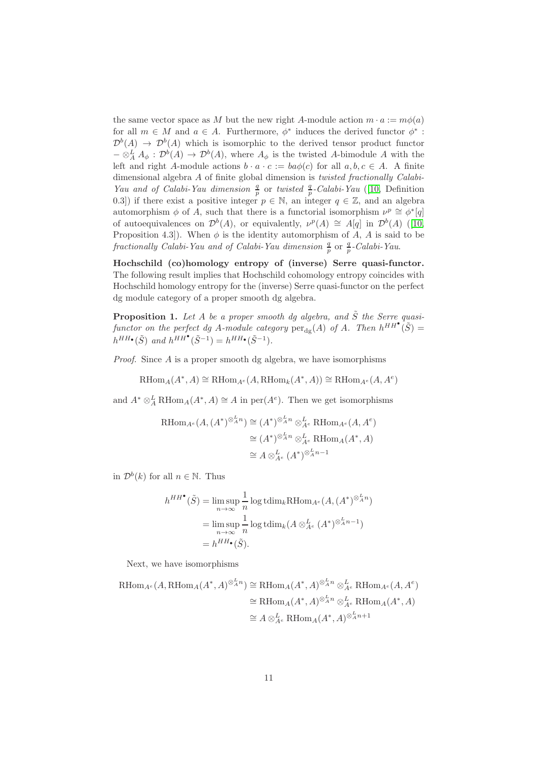the same vector space as M but the new right A-module action  $m \cdot a := m\phi(a)$ for all  $m \in M$  and  $a \in A$ . Furthermore,  $\phi^*$  induces the derived functor  $\phi^*$ :  $\mathcal{D}^b(A) \to \mathcal{D}^b(A)$  which is isomorphic to the derived tensor product functor  $-\otimes^L_A A_\phi: \mathcal{D}^b(A) \to \mathcal{D}^b(A)$ , where  $A_\phi$  is the twisted A-bimodule A with the left and right A-module actions  $b \cdot a \cdot c := ba\phi(c)$  for all  $a, b, c \in A$ . A finite dimensional algebra A of finite global dimension is *twisted fractionally Calabi-Yau and of Calabi-Yau dimension*  $\frac{q}{p}$  or *twisted*  $\frac{q}{p}$ -Calabi-Yau ([\[10,](#page-20-5) Definition 0.3]) if there exist a positive integer  $p \in \mathbb{N}$ , an integer  $q \in \mathbb{Z}$ , and an algebra automorphism  $\phi$  of A, such that there is a functorial isomorphism  $\nu^p \cong \phi^* [q]$ of autoequivalences on  $\mathcal{D}^b(A)$ , or equivalently,  $\nu^p(A) \cong A[q]$  in  $\mathcal{D}^b(A)$  ([\[10,](#page-20-5) Proposition 4.3]). When  $\phi$  is the identity automorphism of A, A is said to be *fractionally Calabi-Yau and of Calabi-Yau dimension*  $\frac{q}{p}$  or  $\frac{q}{p}$ -Calabi-Yau.

Hochschild (co)homology entropy of (inverse) Serre quasi-functor. The following result implies that Hochschild cohomology entropy coincides with Hochschild homology entropy for the (inverse) Serre quasi-functor on the perfect dg module category of a proper smooth dg algebra.

<span id="page-10-0"></span>**Proposition 1.** Let A be a proper smooth dg algebra, and  $\tilde{S}$  the Serre quasifunctor on the perfect dg A-module category  $per_{dg}(A)$  of A. Then  $h^{HH}(\tilde{S}) =$  $h^{HH\bullet}(\tilde{S})$  and  $h^{HH\bullet}(\tilde{S}^{-1}) = h^{HH\bullet}(\tilde{S}^{-1}).$ 

*Proof.* Since A is a proper smooth dg algebra, we have isomorphisms

 $\operatorname{RHom}_A(A^*, A) \cong \operatorname{RHom}_{A^e}(A, \operatorname{RHom}_k(A^*, A)) \cong \operatorname{RHom}_{A^e}(A, A^e)$ 

and  $A^* \otimes_A^L \text{RHom}_A(A^*, A) \cong A$  in per $(A^e)$ . Then we get isomorphisms

$$
\begin{aligned} \text{RHom}_{A^e}(A, (A^*)^{\otimes_A^L n}) &\cong (A^*)^{\otimes_A^L n} \otimes_A^L \text{RHom}_{A^e}(A, A^e) \\ &\cong (A^*)^{\otimes_A^L n} \otimes_A^L \text{RHom}_A(A^*, A) \\ &\cong A \otimes_{A^e}^L (A^*)^{\otimes_A^L n - 1} \end{aligned}
$$

in  $\mathcal{D}^b(k)$  for all  $n \in \mathbb{N}$ . Thus

$$
h^{HH^{\bullet}}(\tilde{S}) = \limsup_{n \to \infty} \frac{1}{n} \log \operatorname{tdim}_{k} \operatorname{RHom}_{A^{e}}(A, (A^{*})^{\otimes_A^{L} n})
$$

$$
= \limsup_{n \to \infty} \frac{1}{n} \log \operatorname{tdim}_{k} (A \otimes_{A^{e}}^{L} (A^{*})^{\otimes_A^{L} n - 1})
$$

$$
= h^{HH^{\bullet}}(\tilde{S}).
$$

Next, we have isomorphisms

$$
\begin{aligned} \text{RHom}_{A^e}(A, \text{RHom}_A(A^*, A)^{\otimes_A^L n}) &\cong \text{RHom}_A(A^*, A)^{\otimes_A^L n} \otimes_{A^e}^L \text{RHom}_{A^e}(A, A^e) \\ &\cong \text{RHom}_A(A^*, A)^{\otimes_A^L n} \otimes_{A^e}^L \text{RHom}_A(A^*, A) \\ &\cong A \otimes_{A^e}^L \text{RHom}_A(A^*, A)^{\otimes_A^L n+1} \end{aligned}
$$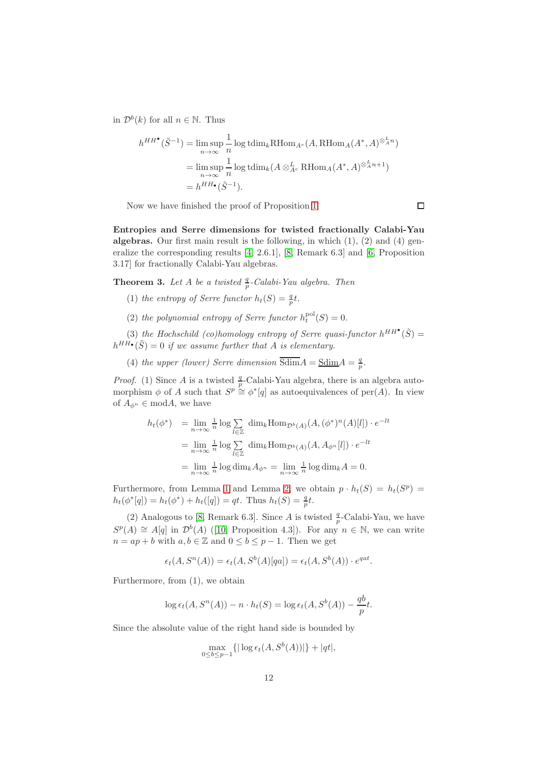in  $\mathcal{D}^b(k)$  for all  $n \in \mathbb{N}$ . Thus

$$
h^{HH^{\bullet}}(\tilde{S}^{-1}) = \limsup_{n \to \infty} \frac{1}{n} \log \text{tdim}_{k} \text{RHom}_{A^{e}}(A, \text{RHom}_{A}(A^{*}, A)^{\otimes_{A}^{L} n})
$$
  
= 
$$
\limsup_{n \to \infty} \frac{1}{n} \log \text{tdim}_{k} (A \otimes_{A^{e}}^{L} \text{RHom}_{A}(A^{*}, A)^{\otimes_{A}^{L} n+1})
$$
  
= 
$$
h^{HH_{\bullet}}(\tilde{S}^{-1}).
$$

Now we have finished the proof of Proposition [1.](#page-10-0)

Entropies and Serre dimensions for twisted fractionally Calabi-Yau algebras. Our first main result is the following, in which  $(1)$ ,  $(2)$  and  $(4)$  generalize the corresponding results [\[4,](#page-19-0) 2.6.1], [\[8,](#page-20-0) Remark 6.3] and [\[6,](#page-20-6) Proposition 3.17] for fractionally Calabi-Yau algebras.

<span id="page-11-0"></span>**Theorem 3.** Let A be a twisted  $\frac{q}{p}$ -Calabi-Yau algebra. Then

- (1) *the entropy of Serre functor*  $h_t(S) = \frac{q}{p}t$ .
- (2) the polynomial entropy of Serre functor  $h_t^{pol}(S) = 0$ .

(3) the Hochschild (co)homology entropy of Serre quasi-functor  $h^{HH}(\tilde{S}) =$  $h^{HH\bullet}(\tilde{S}) = 0$  if we assume further that A is elementary.

(4) *the upper (lower) Serre dimension*  $\overline{\text{Sdim}}A = \underline{\text{Sdim}}A = \frac{q}{p}$ .

*Proof.* (1) Since A is a twisted  $\frac{q}{p}$ -Calabi-Yau algebra, there is an algebra automorphism  $\phi$  of A such that  $S^p \cong \phi^*[q]$  as autoequivalences of per(A). In view of  $A_{\phi^n} \in \mathbf{mod}A$ , we have

$$
h_t(\phi^*) = \lim_{n \to \infty} \frac{1}{n} \log \sum_{l \in \mathbb{Z}} \dim_k \text{Hom}_{\mathcal{D}^b(A)}(A, (\phi^*)^n(A)[l]) \cdot e^{-lt}
$$
  
= 
$$
\lim_{n \to \infty} \frac{1}{n} \log \sum_{l \in \mathbb{Z}} \dim_k \text{Hom}_{\mathcal{D}^b(A)}(A, A_{\phi^n}[l]) \cdot e^{-lt}
$$
  
= 
$$
\lim_{n \to \infty} \frac{1}{n} \log \dim_k A_{\phi^n} = \lim_{n \to \infty} \frac{1}{n} \log \dim_k A = 0.
$$

Furthermore, from Lemma [1](#page-5-1) and Lemma [2,](#page-5-2) we obtain  $p \cdot h_t(S) = h_t(S^p)$  $h_t(\phi^*[q]) = h_t(\phi^*) + h_t([q]) = qt.$  Thus  $h_t(S) = \frac{q}{p}t.$ 

(2) Analogous to [\[8,](#page-20-0) Remark 6.3]. Since A is twisted  $\frac{q}{p}$ -Calabi-Yau, we have  $S^{p}(A) \cong A[q]$  in  $\mathcal{D}^{b}(A)$  ([\[10,](#page-20-5) Proposition 4.3]). For any  $n \in \mathbb{N}$ , we can write  $n = ap + b$  with  $a, b \in \mathbb{Z}$  and  $0 \leq b \leq p - 1$ . Then we get

$$
\epsilon_t(A, S^n(A)) = \epsilon_t(A, S^b(A)[qa]) = \epsilon_t(A, S^b(A)) \cdot e^{qat}.
$$

Furthermore, from (1), we obtain

$$
\log \epsilon_t(A, S^n(A)) - n \cdot h_t(S) = \log \epsilon_t(A, S^b(A)) - \frac{qb}{p}t.
$$

Since the absolute value of the right hand side is bounded by

$$
\max_{0 \le b \le p-1} \{ |\log \epsilon_t(A, S^b(A))| \} + |qt|,
$$

 $\Box$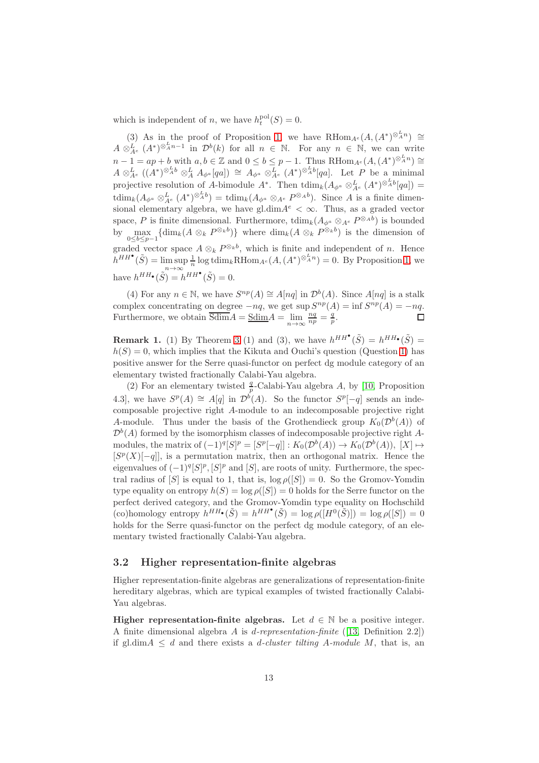which is independent of *n*, we have  $h_t^{\text{pol}}(S) = 0$ .

(3) As in the proof of Proposition [1,](#page-10-0) we have RHom<sub>A</sub><sup>e</sup>(A,(A<sup>\*</sup>)<sup>⊗<sup>L</sup>A<sup>n</sup></sub>) ≅</sup>  $A \otimes_{A^e}^L (A^*)^{\otimes_A^L n-1}$  in  $\mathcal{D}^b(k)$  for all  $n \in \mathbb{N}$ . For any  $n \in \mathbb{N}$ , we can write  $n-1 = ap + b$  with  $a, b \in \mathbb{Z}$  and  $0 \leq b \leq p-1$ . Thus RHom<sub>A</sub><sub>e</sub> $(A, (A^*)^{\otimes_A^L n}) \cong$  $A \otimes_{A^e}^L ((A^*)^{\otimes_A^L b} \otimes_A^L A_{\phi^a}[qa]) \cong A_{\phi^a} \otimes_{A^e}^L (A^*)^{\otimes_A^L b}[qa].$  Let P be a minimal projective resolution of A-bimodule  $A^*$ . Then  $\operatorname{tdim}_k(A_{\phi^a} \otimes_{A^e}^L (A^*)^{\otimes_A^L b}[qa]) =$  $\text{tdim}_k(A_{\phi^a} \otimes_{A^e}^{\textbf{L}} (A^*)^{\otimes_A^L b}) = \text{tdim}_k(A_{\phi^a} \otimes_{A^e} P^{\otimes_A b}).$  Since A is a finite dimensional elementary algebra, we have gl.dim $A^e < \infty$ . Thus, as a graded vector space, P is finite dimensional. Furthermore,  $\text{tdim}_k(A_{\phi^a} \otimes_{A^e} P^{\otimes_A b})$  is bounded by  $\max_{0 \le b \le p-1} {\dim_k(A \otimes_k P^{\otimes_k b})}$  where  $\dim_k(A \otimes_k P^{\otimes_k b})$  is the dimension of graded vector space  $A \otimes_k P^{\otimes_k b}$ , which is finite and independent of *n*. Hence  $h^{HH}(\tilde{S}) = \limsup_{n \to \infty}$  $\frac{1}{n}$  log tdim<sub>k</sub>RHom<sub>A</sub><sup>e</sup>(A,(A<sup>\*</sup>)<sup> $\otimes_A^L$ n) = 0. By Proposition [1,](#page-10-0) we</sup> have  $h^{HH\bullet}(\tilde{S}) = h^{HH\bullet}(\tilde{S}) = 0.$ 

(4) For any  $n \in \mathbb{N}$ , we have  $S^{np}(A) \cong A[nq]$  in  $\mathcal{D}^b(A)$ . Since  $A[nq]$  is a stalk complex concentrating on degree  $-nq$ , we get sup  $S^{np}(A) = \inf S^{np}(A) = -nq$ . Furthermore, we obtain  $\overline{\text{Sdim}}A = \underline{\text{Sdim}}A = \lim_{n \to \infty} \frac{nq}{np} = \frac{q}{p}$ .

**Remark 1.** (1) By Theorem [3](#page-11-0) (1) and (3), we have  $h^{HH}(\tilde{S}) = h^{HH}(\tilde{S}) =$  $h(S) = 0$ , which implies that the Kikuta and Ouchi's question (Question [1\)](#page-7-0) has positive answer for the Serre quasi-functor on perfect dg module category of an elementary twisted fractionally Calabi-Yau algebra.

(2) For an elementary twisted  $\frac{q}{p}$ -Calabi-Yau algebra A, by [\[10,](#page-20-5) Proposition 4.3, we have  $S^p(A) \cong A[q]$  in  $\mathcal{D}^{\hat{b}}(A)$ . So the functor  $S^p[-q]$  sends an indecomposable projective right A-module to an indecomposable projective right A-module. Thus under the basis of the Grothendieck group  $K_0(\mathcal{D}^b(A))$  of  $\mathcal{D}^b(A)$  formed by the isomorphism classes of indecomposable projective right Amodules, the matrix of  $(-1)^q [S]^p = [S^p[-q]] : K_0(\mathcal{D}^b(A)) \to K_0(\mathcal{D}^b(A)), [X] \mapsto$  $[S<sup>p</sup>(X)[-q]]$ , is a permutation matrix, then an orthogonal matrix. Hence the eigenvalues of  $(-1)^{q} [S]^{p}$ ,  $[S]^{p}$  and  $[S]$ , are roots of unity. Furthermore, the spectral radius of  $[S]$  is equal to 1, that is,  $\log \rho([S]) = 0$ . So the Gromov-Yomdin type equality on entropy  $h(S) = \log \rho(|S|) = 0$  holds for the Serre functor on the perfect derived category, and the Gromov-Yomdin type equality on Hochschild (co)homology entropy  $h^{HH}(\tilde{S}) = h^{HH}(\tilde{S}) = \log \rho([H^0(\tilde{S})]) = \log \rho([S]) = 0$ holds for the Serre quasi-functor on the perfect dg module category, of an elementary twisted fractionally Calabi-Yau algebra.

### <span id="page-12-0"></span>3.2 Higher representation-finite algebras

Higher representation-finite algebras are generalizations of representation-finite hereditary algebras, which are typical examples of twisted fractionally Calabi-Yau algebras.

**Higher representation-finite algebras.** Let  $d \in \mathbb{N}$  be a positive integer. A finite dimensional algebra A is d*-representation-finite* ([\[13,](#page-20-3) Definition 2.2]) if gl.dimA ≤ d and there exists a d*-cluster tilting* A*-module* M, that is, an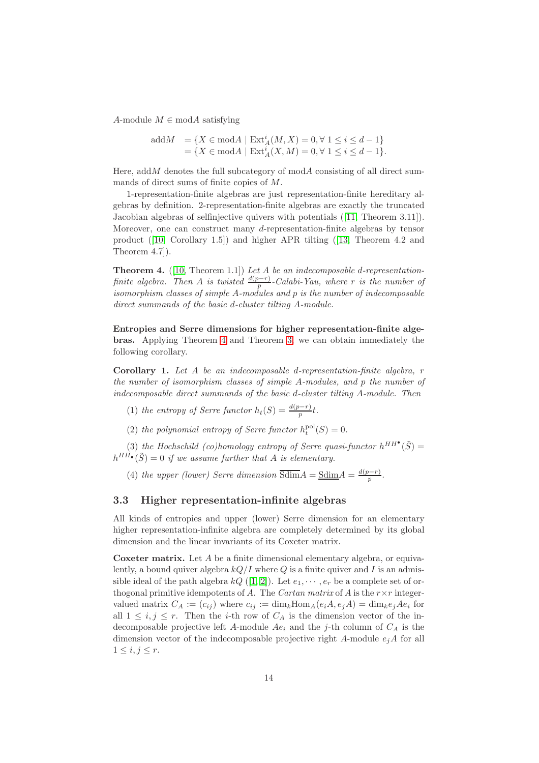A-module  $M \in \mathbf{mod}A$  satisfying

addM = 
$$
\{X \in \text{mod}A \mid \text{Ext}_A^i(M, X) = 0, \forall 1 \le i \le d - 1\}
$$
  
=  $\{X \in \text{mod}A \mid \text{Ext}_A^i(X, M) = 0, \forall 1 \le i \le d - 1\}.$ 

Here, add *M* denotes the full subcategory of  $mod A$  consisting of all direct summands of direct sums of finite copies of M.

1-representation-finite algebras are just representation-finite hereditary algebras by definition. 2-representation-finite algebras are exactly the truncated Jacobian algebras of selfinjective quivers with potentials ([\[11,](#page-20-16) Theorem 3.11]). Moreover, one can construct many d-representation-finite algebras by tensor product ([\[10,](#page-20-5) Corollary 1.5]) and higher APR tilting ([\[13,](#page-20-3) Theorem 4.2 and Theorem 4.7]).

<span id="page-13-2"></span>Theorem 4. ([\[10,](#page-20-5) Theorem 1.1]) *Let* A *be an indecomposable* d*-representationfinite algebra.* Then A *is twisted*  $\frac{d(p-r)}{p}$ -Calabi-Yau, where r *is the number of isomorphism classes of simple* A*-modules and* p *is the number of indecomposable direct summands of the basic* d*-cluster tilting* A*-module.*

Entropies and Serre dimensions for higher representation-finite algebras. Applying Theorem [4](#page-13-2) and Theorem [3,](#page-11-0) we can obtain immediately the following corollary.

<span id="page-13-1"></span>Corollary 1. *Let* A *be an indecomposable* d*-representation-finite algebra,* r *the number of isomorphism classes of simple* A*-modules, and* p *the number of indecomposable direct summands of the basic* d*-cluster tilting* A*-module. Then*

(1) *the entropy of Serre functor*  $h_t(S) = \frac{d(p-r)}{p}t$ .

(2) the polynomial entropy of Serre functor  $h_t^{pol}(S) = 0$ .

(3) the Hochschild (co)homology entropy of Serre quasi-functor  $h^{HH}(\tilde{S}) =$  $h^{HH\bullet}(\tilde{S}) = 0$  if we assume further that A is elementary.

(4) *the upper (lower)* Serre dimension  $\overline{\text{Sdim}}A = \underline{\text{Sdim}}A = \frac{d(p-r)}{n}$  $\frac{p-r}{p}$ .

### <span id="page-13-0"></span>3.3 Higher representation-infinite algebras

All kinds of entropies and upper (lower) Serre dimension for an elementary higher representation-infinite algebra are completely determined by its global dimension and the linear invariants of its Coxeter matrix.

Coxeter matrix. Let A be a finite dimensional elementary algebra, or equivalently, a bound quiver algebra  $kQ/I$  where Q is a finite quiver and I is an admissible ideal of the path algebra  $kQ$  ([\[1,](#page-19-1) [2\]](#page-19-2)). Let  $e_1, \dots, e_r$  be a complete set of orthogonal primitive idempotents of A. The *Cartan matrix* of A is the  $r \times r$  integervalued matrix  $C_A := (c_{ij})$  where  $c_{ij} := \dim_k \text{Hom}_A(e_i A, e_j A) = \dim_k e_j A e_i$  for all  $1 \leq i, j \leq r$ . Then the *i*-th row of  $C_A$  is the dimension vector of the indecomposable projective left A-module  $Ae_i$  and the j-th column of  $C_A$  is the dimension vector of the indecomposable projective right  $A$ -module  $e_jA$  for all  $1 \leq i, j \leq r$ .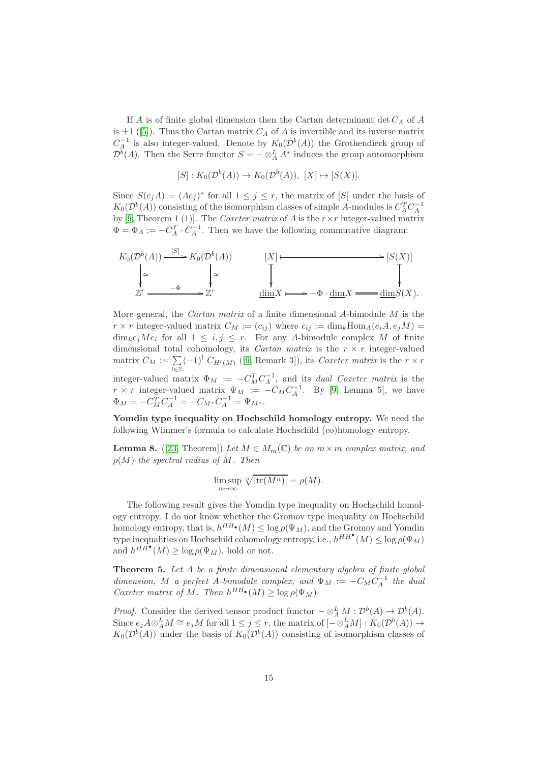If A is of finite global dimension then the Cartan determinant det  $C_A$  of A is  $\pm 1$  ([\[5\]](#page-20-17)). Thus the Cartan matrix  $C_A$  of A is invertible and its inverse matrix  $C_A^{-1}$  is also integer-valued. Denote by  $K_0(\mathcal{D}^b(A))$  the Grothendieck group of  $\mathcal{D}^b(A)$ . Then the Serre functor  $S = -\otimes_A^L A^*$  induces the group automorphism

$$
[S]: K_0(\mathcal{D}^b(A)) \to K_0(\mathcal{D}^b(A)), [X] \mapsto [S(X)].
$$

Since  $S(e_j A) = (A e_j)^*$  for all  $1 \leq j \leq r$ , the matrix of [S] under the basis of  $K_0(\mathcal{D}^b(A))$  consisting of the isomorphism classes of simple A-modules is  $C_A^T C_A^{-1}$ by [\[9,](#page-20-7) Theorem 1 (1)]. The *Coxeter matrix* of A is the r×r integer-valued matrix  $\Phi = \Phi_A := -C_A^T \cdot C_A^{-1}$ . Then we have the following commutative diagram:



More general, the *Cartan matrix* of a finite dimensional A-bimodule M is the  $r \times r$  integer-valued matrix  $C_M := (c_{ij})$  where  $c_{ij} := \dim_k \text{Hom}_A(e_i A, e_j M)$  $\dim_k e_jMe_i$  for all  $1 \leq i, j \leq r$ . For any A-bimodule complex M of finite dimensional total cohomology, its *Cartan matrix* is the  $r \times r$  integer-valued matrix  $C_M := \sum_{i=1}^n (-1)^i C_{H^l(M)}([9, \text{Remark 3}]),$  $C_M := \sum_{i=1}^n (-1)^i C_{H^l(M)}([9, \text{Remark 3}]),$  $C_M := \sum_{i=1}^n (-1)^i C_{H^l(M)}([9, \text{Remark 3}]),$  its *Coxeter matrix* is the  $r \times r$ l∈Z integer-valued matrix  $\Phi_M := -C_M^T C_A^{-1}$ , and its *dual Coxeter matrix* is the  $r \times r$  integer-valued matrix  $\Psi_M := -C_M C_A^{-1}$ . By [\[9,](#page-20-7) Lemma 5], we have  $\Phi_M = -C_M^T C_A^{-1} = -C_{M^*} C_A^{-1} = \Psi_{M^*}.$ 

Yomdin type inequality on Hochschild homology entropy. We need the following Wimmer's formula to calculate Hochschild (co)homology entropy.

<span id="page-14-1"></span>**Lemma 8.** ([\[23,](#page-20-8) Theorem]) *Let*  $M \in M_m(\mathbb{C})$  *be an*  $m \times m$  *complex matrix, and* ρ(M) *the spectral radius of* M*. Then*

$$
\limsup_{n \to \infty} \sqrt[n]{|\text{tr}(M^n)|} = \rho(M).
$$

The following result gives the Yomdin type inequality on Hochschild homology entropy. I do not know whether the Gromov type inequality on Hochschild homology entropy, that is,  $h^{HH\bullet}(M) \leq \log \rho(\Psi_M)$ , and the Gromov and Yomdin type inequalities on Hochschild cohomology entropy, i.e.,  $h^{HH^{\bullet}}(M) \leq \log \rho(\Psi_M)$ and  $h^{HH^{\bullet}}(M) \geq \log \rho(\Psi_M)$ , hold or not.

<span id="page-14-0"></span>Theorem 5. *Let* A *be a finite dimensional elementary algebra of finite global dimension, M a perfect A*-*bimodule complex, and*  $\Psi_M := -C_M C_A^{-1}$  *the dual Coxeter matrix of M*. Then  $h^{HH}$  (*M*)  $\geq \log \rho(\Psi_M)$ .

*Proof.* Consider the derived tensor product functor  $-\otimes_A^L M : \mathcal{D}^b(A) \to \mathcal{D}^b(A)$ . Since  $e_j A \otimes_A^L M \cong e_j M$  for all  $1 \leq j \leq r$ , the matrix of  $\left[ - \otimes_A^L M \right] : K_0(\mathcal{D}^b(A)) \to$  $K_0(\mathcal{D}^b(A))$  under the basis of  $K_0(\mathcal{D}^b(A))$  consisting of isomorphism classes of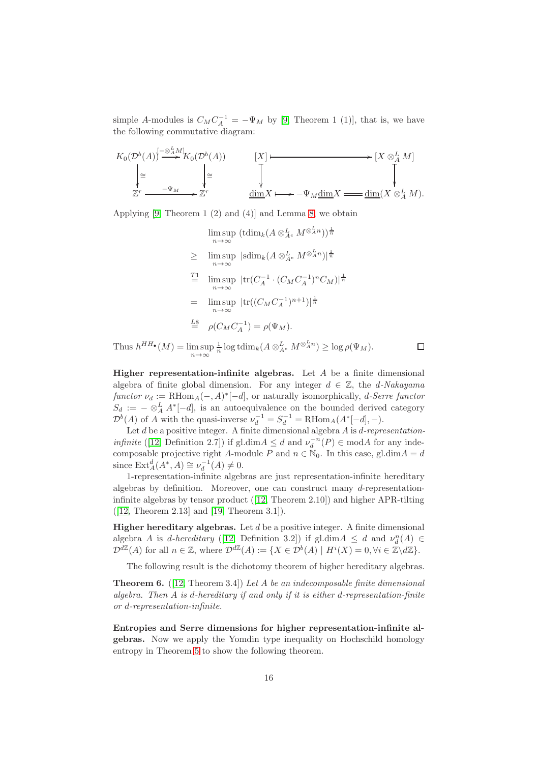simple A-modules is  $C_M C_A^{-1} = -\Psi_M$  by [\[9,](#page-20-7) Theorem 1 (1)], that is, we have the following commutative diagram:



Applying [\[9,](#page-20-7) Theorem 1 (2) and (4)] and Lemma [8,](#page-14-1) we obtain

$$
\limsup_{n \to \infty} (\text{tdim}_k (A \otimes_{A^e}^L M^{\otimes_A^L n}))^{\frac{1}{n}}
$$
\n
$$
\geq \limsup_{n \to \infty} |\text{sdim}_k (A \otimes_{A^e}^L M^{\otimes_A^L n})|^{\frac{1}{n}}
$$
\n
$$
\stackrel{T1}{=} \limsup_{n \to \infty} |\text{tr}(C_A^{-1} \cdot (C_M C_A^{-1})^n C_M)|^{\frac{1}{n}}
$$
\n
$$
= \limsup_{n \to \infty} |\text{tr}((C_M C_A^{-1})^{n+1})|^{\frac{1}{n}}
$$
\n
$$
\stackrel{L8}{=} \rho(C_M C_A^{-1}) = \rho(\Psi_M).
$$

 $\Box$ 

Thus  $h^{HH\bullet}(M) = \limsup_{n \to \infty}$  $\frac{1}{n} \log \text{tdim}_k(A \otimes_{A^e}^L M^{\otimes_A^L n}) \geq \log \rho(\Psi_M).$ 

**Higher representation-infinite algebras.** Let  $A$  be a finite dimensional algebra of finite global dimension. For any integer  $d \in \mathbb{Z}$ , the *d*-Nakayama  $functor \nu_d := \text{RHom}_A(-, A)^*[-d]$ , or naturally isomorphically, *d-Serre functor*  $S_d := - \otimes_A^L A^*[-d]$ , is an autoequivalence on the bounded derived category  $\mathcal{D}^b(A)$  of A with the quasi-inverse  $\nu_d^{-1} = S_d^{-1} = \text{RHom}_A(A^*[-d], -)$ .

Let d be a positive integer. A finite dimensional algebra A is d*-representationinfinite* ([\[12,](#page-20-4) Definition 2.7]) if gl.dim $A \leq d$  and  $\nu_d^{-n}(P) \in \text{mod}A$  for any indecomposable projective right A-module P and  $n \in \mathbb{N}_0$ . In this case, gl.dim $A = d$ since  $\text{Ext}_{A}^{d}(A^*, A) \cong \nu_{d}^{-1}(A) \neq 0.$ 

1-representation-infinite algebras are just representation-infinite hereditary algebras by definition. Moreover, one can construct many d-representationinfinite algebras by tensor product ([\[12,](#page-20-4) Theorem 2.10]) and higher APR-tilting ([\[12,](#page-20-4) Theorem 2.13] and [\[19,](#page-20-18) Theorem 3.1]).

**Higher hereditary algebras.** Let  $d$  be a positive integer. A finite dimensional algebra A is d-hereditary ([\[12,](#page-20-4) Definition 3.2]) if gl.dim $A \leq d$  and  $\nu_d^n(A) \in$  $\mathcal{D}^{d\mathbb{Z}}(A)$  for all  $n \in \mathbb{Z}$ , where  $\mathcal{D}^{d\mathbb{Z}}(A) := \{ X \in \mathcal{D}^b(A) \mid H^i(X) = 0, \forall i \in \mathbb{Z} \backslash d\mathbb{Z} \}.$ 

The following result is the dichotomy theorem of higher hereditary algebras.

Theorem 6. ([\[12,](#page-20-4) Theorem 3.4]) *Let* A *be an indecomposable finite dimensional algebra. Then* A *is* d*-hereditary if and only if it is either* d*-representation-finite or* d*-representation-infinite.*

Entropies and Serre dimensions for higher representation-infinite algebras. Now we apply the Yomdin type inequality on Hochschild homology entropy in Theorem [5](#page-14-0) to show the following theorem.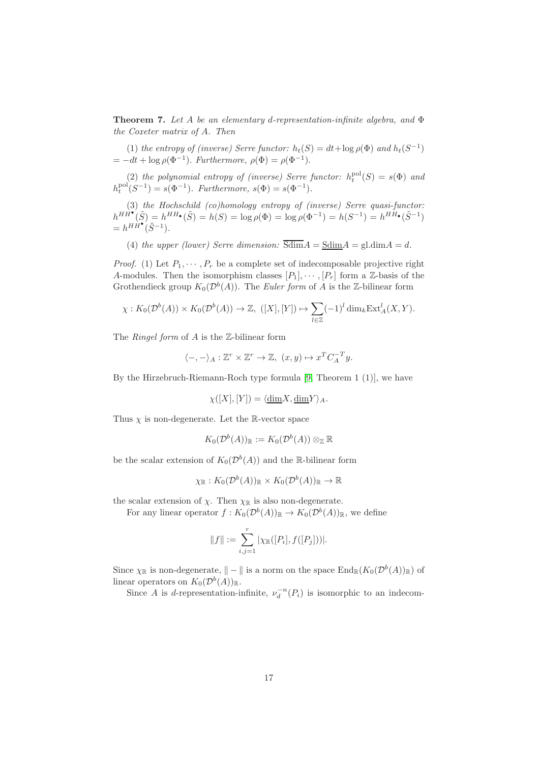<span id="page-16-0"></span>Theorem 7. *Let* A *be an elementary* d*-representation-infinite algebra, and* Φ *the Coxeter matrix of* A*. Then*

(1) *the entropy of (inverse)* Serre functor:  $h_t(S) = dt + \log \rho(\Phi)$  and  $h_t(S^{-1})$  $= -dt + \log \rho(\Phi^{-1})$ . *Furthermore*,  $\rho(\Phi) = \rho(\Phi^{-1})$ .

(2) the polynomial entropy of (inverse) Serre functor:  $h_t^{pol}(S) = s(\Phi)$  and  $h_t^{\text{pol}}(S^{-1}) = s(\Phi^{-1})$ *. Furthermore,*  $s(\Phi) = s(\Phi^{-1})$ *.* 

(3) *the Hochschild (co)homology entropy of (inverse) Serre quasi-functor:*  $h^{HH^{\bullet}}(\tilde{S}) = h^{HH_{\bullet}}(\tilde{S}) = h(S) = \log \rho(\Phi) = \log \rho(\Phi^{-1}) = h(S^{-1}) = h^{HH_{\bullet}}(\tilde{S}^{-1})$  $= h^{H}\hat{H}^{\bullet}(\tilde{S}^{-1}).$ 

(4) *the upper (lower) Serre dimension:*  $\overline{Sdim}A = \underline{Sdim}A = \text{gl.dim}A = d$ .

*Proof.* (1) Let  $P_1, \cdots, P_r$  be a complete set of indecomposable projective right A-modules. Then the isomorphism classes  $[P_1], \cdots, [P_r]$  form a Z-basis of the Grothendieck group  $K_0(\mathcal{D}^b(A))$ . The *Euler form* of A is the Z-bilinear form

$$
\chi: K_0(\mathcal{D}^b(A)) \times K_0(\mathcal{D}^b(A)) \to \mathbb{Z}, \ ( [X], [Y]) \mapsto \sum_{l \in \mathbb{Z}} (-1)^l \dim_k \mathrm{Ext}^l_A(X, Y).
$$

The *Ringel form* of A is the Z-bilinear form

$$
\langle -, - \rangle_A : \mathbb{Z}^r \times \mathbb{Z}^r \to \mathbb{Z}, \ (x, y) \mapsto x^T C_A^{-T} y.
$$

By the Hirzebruch-Riemann-Roch type formula [\[9,](#page-20-7) Theorem 1 (1)], we have

$$
\chi([X],[Y]) = \langle \underline{\dim} X, \underline{\dim} Y \rangle_A.
$$

Thus  $\chi$  is non-degenerate. Let the R-vector space

$$
K_0(\mathcal{D}^b(A))_{\mathbb{R}} := K_0(\mathcal{D}^b(A)) \otimes_{\mathbb{Z}} \mathbb{R}
$$

be the scalar extension of  $K_0(\mathcal{D}^b(A))$  and the R-bilinear form

$$
\chi_{\mathbb{R}} : K_0(\mathcal{D}^b(A))_{\mathbb{R}} \times K_0(\mathcal{D}^b(A))_{\mathbb{R}} \to \mathbb{R}
$$

the scalar extension of  $\chi$ . Then  $\chi_{\mathbb{R}}$  is also non-degenerate.

For any linear operator  $f: K_0(\mathcal{D}^b(A))_{\mathbb{R}} \to K_0(\mathcal{D}^b(A))_{\mathbb{R}}$ , we define

$$
||f|| := \sum_{i,j=1}^r |\chi_{\mathbb{R}}([P_i], f([P_j]))|.
$$

Since  $\chi_{\mathbb{R}}$  is non-degenerate,  $\Vert - \Vert$  is a norm on the space  $\text{End}_{\mathbb{R}}(K_0(\mathcal{D}^b(A))_{\mathbb{R}})$  of linear operators on  $K_0(\mathcal{D}^b(A))_{\mathbb{R}}$ .

Since A is d-representation-infinite,  $\nu_d^{-n}(P_i)$  is isomorphic to an indecom-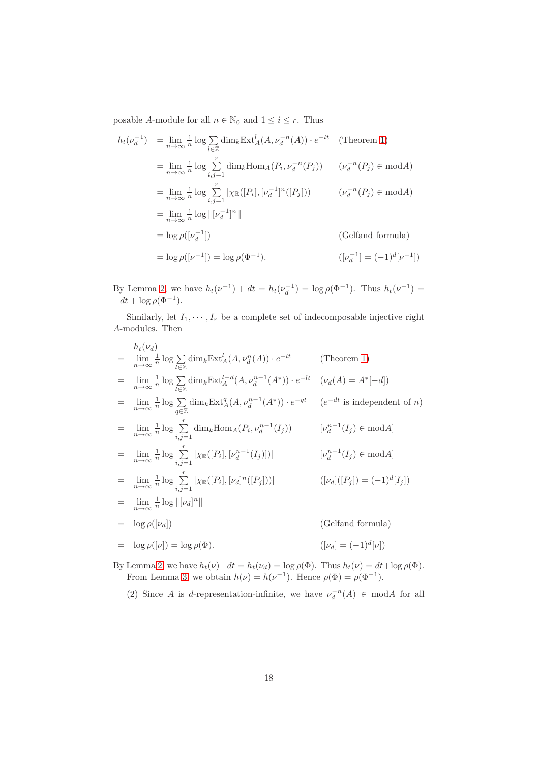posable A-module for all  $n \in \mathbb{N}_0$  and  $1 \leq i \leq r$ . Thus

$$
h_t(\nu_d^{-1}) = \lim_{n \to \infty} \frac{1}{n} \log \sum_{l \in \mathbb{Z}} \dim_k \operatorname{Ext}^l_A(A, \nu_d^{-n}(A)) \cdot e^{-lt} \quad \text{(Theorem 1)}
$$
\n
$$
= \lim_{n \to \infty} \frac{1}{n} \log \sum_{i,j=1}^r \dim_k \operatorname{Hom}_A(P_i, \nu_d^{-n}(P_j)) \qquad (\nu_d^{-n}(P_j) \in \operatorname{mod} A)
$$
\n
$$
= \lim_{n \to \infty} \frac{1}{n} \log \sum_{i,j=1}^r |\chi_{\mathbb{R}}([P_i], [\nu_d^{-1}]^n([P_j]))| \qquad (\nu_d^{-n}(P_j) \in \operatorname{mod} A)
$$
\n
$$
= \lim_{n \to \infty} \frac{1}{n} \log ||[\nu_d^{-1}]^n||
$$
\n
$$
= \log \rho([\nu_d^{-1}]) \qquad \text{(Gelfand formula)}
$$
\n
$$
= \log \rho([\nu^{-1}]) = \log \rho(\Phi^{-1}). \qquad \qquad ([\nu_d^{-1}] = (-1)^d[\nu^{-1}])
$$

By Lemma [2,](#page-5-2) we have  $h_t(\nu^{-1}) + dt = h_t(\nu_d^{-1}) = \log \rho(\Phi^{-1})$ . Thus  $h_t(\nu^{-1}) =$  $-dt + \log \rho(\Phi^{-1}).$ 

Similarly, let  $I_1, \dots, I_r$  be a complete set of indecomposable injective right A-modules. Then

$$
h_t(\nu_d)
$$
\n
$$
= \lim_{n \to \infty} \frac{1}{n} \log \sum_{l \in \mathbb{Z}} \dim_k \operatorname{Ext}^l_A(A, \nu_d^n(A)) \cdot e^{-lt} \qquad \text{(Theorem 1)}
$$
\n
$$
= \lim_{n \to \infty} \frac{1}{n} \log \sum_{l \in \mathbb{Z}} \dim_k \operatorname{Ext}^{l-d}_A(A, \nu_d^{n-1}(A^*)) \cdot e^{-lt} \qquad (\nu_d(A) = A^*[-d])
$$
\n
$$
= \lim_{n \to \infty} \frac{1}{n} \log \sum_{q \in \mathbb{Z}} \dim_k \operatorname{Ext}^q_A(A, \nu_d^{n-1}(A^*)) \cdot e^{-qt} \qquad (e^{-dt} \text{ is independent of } n)
$$
\n
$$
= \lim_{n \to \infty} \frac{1}{n} \log \sum_{i,j=1}^r \dim_k \operatorname{Hom}_A(P_i, \nu_d^{n-1}(I_j)) \qquad [\nu_d^{n-1}(I_j) \in \operatorname{mod} A]
$$
\n
$$
= \lim_{n \to \infty} \frac{1}{n} \log \sum_{i,j=1}^r |\chi_{\mathbb{R}}([P_i], [\nu_d^{n-1}(I_j)])| \qquad [\nu_d^{n-1}(I_j) \in \operatorname{mod} A]
$$
\n
$$
= \lim_{n \to \infty} \frac{1}{n} \log \sum_{i,j=1}^r |\chi_{\mathbb{R}}([P_i], [\nu_d]^n([P_j]))| \qquad ([\nu_d]([P_j]) = (-1)^d[I_j])
$$
\n
$$
= \lim_{n \to \infty} \frac{1}{n} \log ||[\nu_d]^n||
$$
\n
$$
= \log \rho([\nu_d]) \qquad \text{(Gelfand formula)}
$$
\n
$$
= \log \rho([\nu]) = \log \rho(\Phi). \qquad ([\nu_d] = (-1)^d[\nu])
$$

By Lemma [2,](#page-5-2) we have  $h_t(\nu) - dt = h_t(\nu_d) = \log \rho(\Phi)$ . Thus  $h_t(\nu) = dt + \log \rho(\Phi)$ . From Lemma [3,](#page-5-4) we obtain  $h(\nu) = h(\nu^{-1})$ . Hence  $\rho(\Phi) = \rho(\Phi^{-1})$ .

(2) Since A is d-representation-infinite, we have  $\nu_d^{-n}(A) \in \text{ mod } A$  for all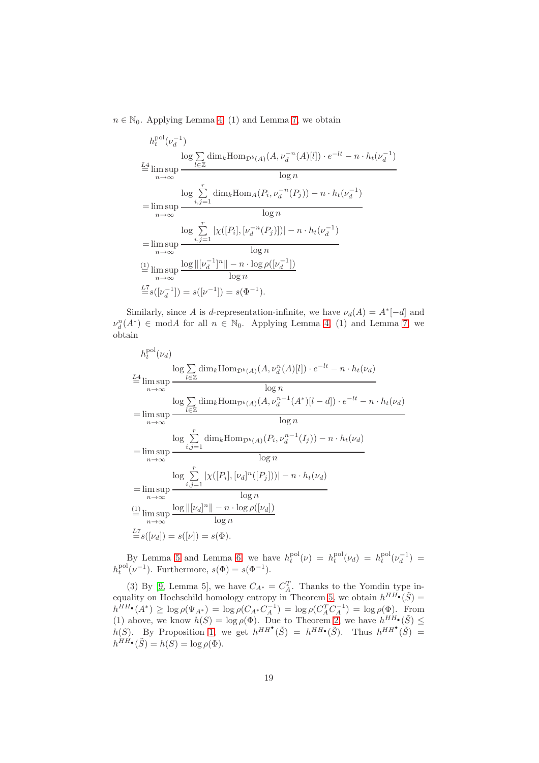$n \in \mathbb{N}_0$ . Applying Lemma [4,](#page-5-5) (1) and Lemma [7,](#page-6-1) we obtain

$$
h_t^{\text{pol}}(\nu_d^{-1})
$$
  
\n
$$
\log \sum_{i \in \mathbb{Z}} \dim_k \text{Hom}_{\mathcal{D}^b(A)}(A, \nu_d^{-n}(A)[l]) \cdot e^{-lt} - n \cdot h_t(\nu_d^{-1})
$$
  
\n
$$
= \limsup_{n \to \infty} \frac{\log \sum_{i,j=1}^r \dim_k \text{Hom}_A(P_i, \nu_d^{-n}(P_j)) - n \cdot h_t(\nu_d^{-1})}{\log n}
$$
  
\n
$$
= \limsup_{n \to \infty} \frac{\log \sum_{i,j=1}^r |\chi([P_i], [\nu_d^{-n}(P_j)])| - n \cdot h_t(\nu_d^{-1})}{\log n}
$$
  
\n
$$
= \limsup_{n \to \infty} \frac{\log ||[\nu_d^{-1}]^n|| - n \cdot \log \rho([\nu_d^{-1}])}{\log n}
$$
  
\n
$$
\stackrel{\text{(1)}{\equiv} \limsup_{n \to \infty} \frac{\log ||[\nu_d^{-1}]^n|| - n \cdot \log \rho([\nu_d^{-1}])}{\log n}
$$
  
\n
$$
\stackrel{\text{L7}}{=} s([\nu_d^{-1}]) = s([\nu^{-1}]) = s(\Phi^{-1}).
$$

Similarly, since A is d-representation-infinite, we have  $\nu_d(A) = A^*[-d]$  and  $\nu_d^n(A^*) \in \text{mod}A$  for all  $n \in \mathbb{N}_0$ . Applying Lemma [4,](#page-5-5) (1) and Lemma [7,](#page-6-1) we obtain

$$
h_t^{\text{pol}}(\nu_d)
$$
  
\n
$$
\log \sum_{l \in \mathbb{Z}} \dim_k \text{Hom}_{\mathcal{D}^b(A)}(A, \nu_d^n(A)[l]) \cdot e^{-lt} - n \cdot h_t(\nu_d)
$$
  
\n
$$
\stackrel{L4}{=} \limsup_{n \to \infty} \frac{\log \sum_{l \in \mathbb{Z}} \dim_k \text{Hom}_{\mathcal{D}^b(A)}(A, \nu_d^{n-1}(A^*)[l-d]) \cdot e^{-lt} - n \cdot h_t(\nu_d)}{\log n}
$$
  
\n
$$
= \limsup_{n \to \infty} \frac{\log \sum_{i,j=1}^r \dim_k \text{Hom}_{\mathcal{D}^b(A)}(P_i, \nu_d^{n-1}(I_j)) - n \cdot h_t(\nu_d)}{\log n}
$$
  
\n
$$
= \limsup_{n \to \infty} \frac{\log \sum_{i,j=1}^r |\chi([P_i], [\nu_d]^n([P_j]))| - n \cdot h_t(\nu_d)}{\log n}
$$
  
\n
$$
= \limsup_{n \to \infty} \frac{\log ||[\nu_d]^n|| - n \cdot \log \rho([\nu_d])}{\log n}
$$
  
\n
$$
\stackrel{L7}{=} s([\nu_d]) = s([\nu]) = s(\Phi).
$$

By Lemma [5](#page-5-6) and Lemma [6,](#page-6-2) we have  $h_t^{\text{pol}}(\nu) = h_t^{\text{pol}}(\nu_d) = h_t^{\text{pol}}(\nu_d^{-1}) =$  $h_t^{\text{pol}}(\nu^{-1})$ . Furthermore,  $s(\Phi) = s(\Phi^{-1})$ .

(3) By [\[9,](#page-20-7) Lemma 5], we have  $C_{A^*} = C_A^T$ . Thanks to the Yomdin type in-equality on Hochschild homology entropy in Theorem [5,](#page-14-0) we obtain  $h^{HH}(\tilde{S}) =$  $h^{HH\bullet}(A^*) \ge \log \rho(\Psi_{A^*}) = \log \rho(C_{A^*} C_A^{-1}) = \log \rho(C_A^T C_A^{-1}) = \log \rho(\Phi).$  From (1) above, we know  $h(S) = \log \rho(\Phi)$ . Due to Theorem [2,](#page-7-1) we have  $h^{HH}(\tilde{S}) \leq$  $h(S)$ . By Proposition [1,](#page-10-0) we get  $h^{HH}(\tilde{S}) = h^{HH}(\tilde{S})$ . Thus  $h^{HH}(\tilde{S}) =$  $h^{HH\bullet}(\tilde{S}) = h(S) = \log \rho(\Phi).$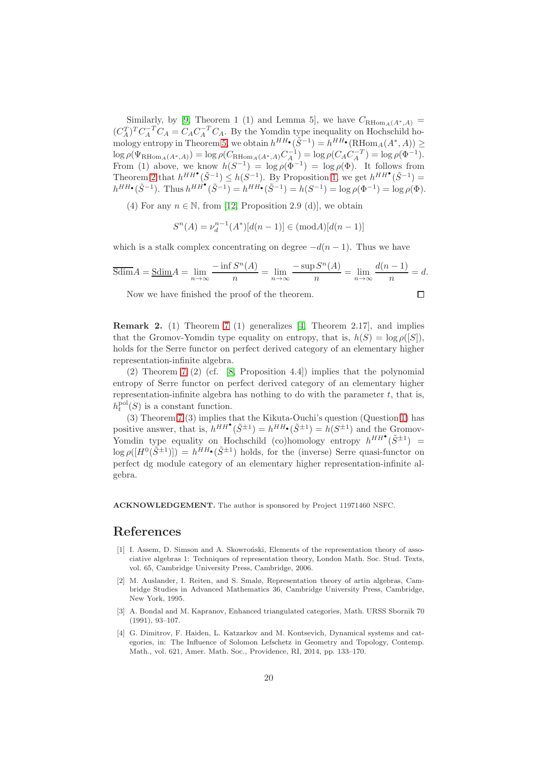Similarly, by [\[9,](#page-20-7) Theorem 1 (1) and Lemma 5], we have  $C_{\text{RHom}_A(A^*,A)} =$  $(C_A^T)^T C_A^{-T} C_A = C_A C_A^{-T} C_A$ . By the Yomdin type inequality on Hochschild ho-mology entropy in Theorem [5,](#page-14-0) we obtain  $h^{HH} \cdot (\tilde{S}^{-1}) = h^{HH} \cdot (RHom_A(A^*,A)) \ge$  $\log \rho(\Psi_{\text{RHom}_A(A^*,A)}) = \log \rho(C_{\text{RHom}_A(A^*,A)} C_A^{-1}) = \log \rho(C_A C_A^{-T}) = \log \rho(\Phi^{-1}).$ From (1) above, we know  $h(S^{-1}) = \log \rho(\Phi^{-1}) = \log \rho(\Phi)$ . It follows from Theorem [2](#page-7-1) that  $h^{HH}(\tilde{S}^{-1}) \leq h(S^{-1})$ . By Proposition [1,](#page-10-0) we get  $h^{HH}(\tilde{S}^{-1}) =$  $h^{HH\bullet}(\tilde{S}^{-1})$ . Thus  $h^{HH\bullet}(\tilde{S}^{-1}) = h^{HH\bullet}(\tilde{S}^{-1}) = h(S^{-1}) = \log \rho(\Phi^{-1}) = \log \rho(\Phi)$ .

(4) For any  $n \in \mathbb{N}$ , from [\[12,](#page-20-4) Proposition 2.9 (d)], we obtain

$$
S^n(A) = \nu_d^{n-1}(A^*)[d(n-1)] \in (\text{mod}A)[d(n-1)]
$$

which is a stalk complex concentrating on degree  $-d(n-1)$ . Thus we have

$$
\overline{\text{Sdim}}A = \underline{\text{Sdim}}A = \lim_{n \to \infty} \frac{-\inf S^n(A)}{n} = \lim_{n \to \infty} \frac{-\sup S^n(A)}{n} = \lim_{n \to \infty} \frac{d(n-1)}{n} = d.
$$

 $\Box$ 

Now we have finished the proof of the theorem.

**Remark 2.** (1) Theorem 7 (1) generalizes [4, Theorem 2.17], and implies that the Gromov-Yomdin type equality on entropy, that is, 
$$
h(S) = \log \rho([S])
$$
, holds for the Serre functor on perfect derived category of an elementary higher representation-infinite algebra.

(2) Theorem [7](#page-16-0) (2) (cf. [\[8,](#page-20-0) Proposition 4.4]) implies that the polynomial entropy of Serre functor on perfect derived category of an elementary higher representation-infinite algebra has nothing to do with the parameter  $t$ , that is,  $h_t^{\text{pol}}(S)$  is a constant function.

(3) Theorem [7](#page-16-0) (3) implies that the Kikuta-Ouchi's question (Question [1\)](#page-7-0) has positive answer, that is,  $h^{HH}(\tilde{S}^{\pm 1}) = h^{HH}(\tilde{S}^{\pm 1}) = h(S^{\pm 1})$  and the Gromov-Yomdin type equality on Hochschild (co)homology entropy  $h^{HH}(\tilde{S}^{\pm 1}) =$  $\log \rho([H^0(\tilde{S}^{\pm 1})]) = h^{HH} \cdot (\tilde{S}^{\pm 1})$  holds, for the (inverse) Serre quasi-functor on perfect dg module category of an elementary higher representation-infinite algebra.

ACKNOWLEDGEMENT. The author is sponsored by Project 11971460 NSFC.

# <span id="page-19-1"></span>References

- [1] I. Assem, D. Simson and A. Skowroński, Elements of the representation theory of associative algebras 1: Techniques of representation theory, London Math. Soc. Stud. Texts, vol. 65, Cambridge University Press, Cambridge, 2006.
- <span id="page-19-2"></span>[2] M. Auslander, I. Reiten, and S. Smalø, Representation theory of artin algebras, Cambridge Studies in Advanced Mathematics 36, Cambridge University Press, Cambridge, New York, 1995.
- <span id="page-19-3"></span>[3] A. Bondal and M. Kapranov, Enhanced triangulated categories, Math. URSS Sbornik 70 (1991), 93–107.
- <span id="page-19-0"></span>[4] G. Dimitrov, F. Haiden, L. Katzarkov and M. Kontsevich, Dynamical systems and categories, in: The Influence of Solomon Lefschetz in Geometry and Topology, Contemp. Math., vol. 621, Amer. Math. Soc., Providence, RI, 2014, pp. 133–170.